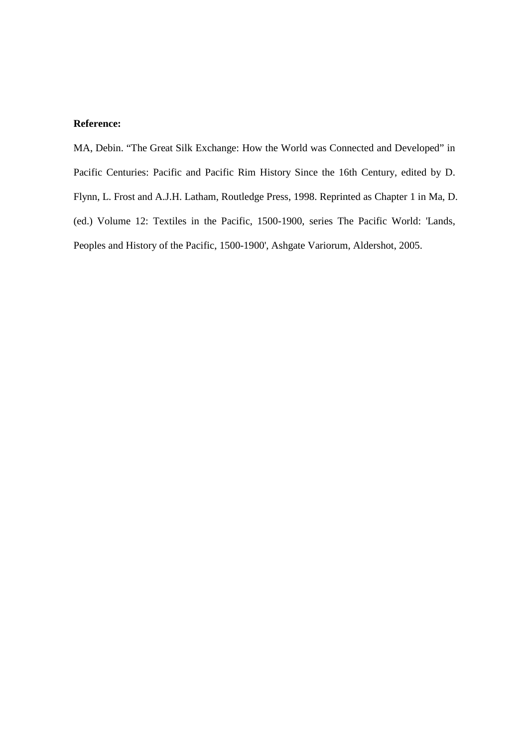# **Reference:**

MA, Debin. "The Great Silk Exchange: How the World was Connected and Developed" in Pacific Centuries: Pacific and Pacific Rim History Since the 16th Century, edited by D. Flynn, L. Frost and A.J.H. Latham, Routledge Press, 1998. Reprinted as Chapter 1 in Ma, D. (ed.) Volume 12: Textiles in the Pacific, 1500-1900, series The Pacific World: 'Lands, Peoples and History of the Pacific, 1500-1900', Ashgate Variorum, Aldershot, 2005.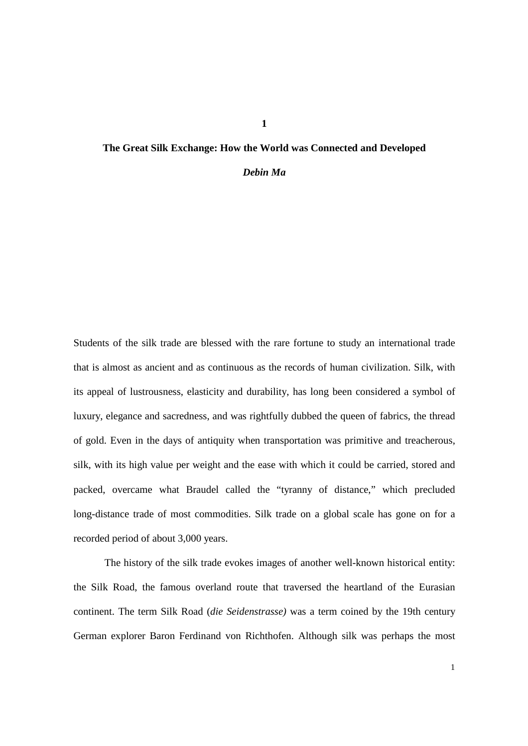# **The Great Silk Exchange: How the World was Connected and Developed**

*Debin Ma* 

Students of the silk trade are blessed with the rare fortune to study an international trade that is almost as ancient and as continuous as the records of human civilization. Silk, with its appeal of lustrousness, elasticity and durability, has long been considered a symbol of luxury, elegance and sacredness, and was rightfully dubbed the queen of fabrics, the thread of gold. Even in the days of antiquity when transportation was primitive and treacherous, silk, with its high value per weight and the ease with which it could be carried, stored and packed, overcame what Braudel called the "tyranny of distance," which precluded long-distance trade of most commodities. Silk trade on a global scale has gone on for a recorded period of about 3,000 years.

The history of the silk trade evokes images of another well-known historical entity: the Silk Road, the famous overland route that traversed the heartland of the Eurasian continent. The term Silk Road (*die Seidenstrasse)* was a term coined by the 19th century German explorer Baron Ferdinand von Richthofen. Although silk was perhaps the most

**1**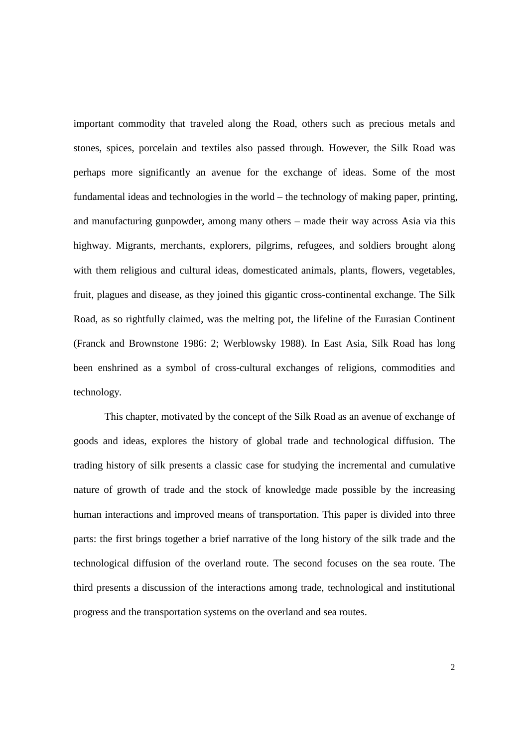important commodity that traveled along the Road, others such as precious metals and stones, spices, porcelain and textiles also passed through. However, the Silk Road was perhaps more significantly an avenue for the exchange of ideas. Some of the most fundamental ideas and technologies in the world – the technology of making paper, printing, and manufacturing gunpowder, among many others – made their way across Asia via this highway. Migrants, merchants, explorers, pilgrims, refugees, and soldiers brought along with them religious and cultural ideas, domesticated animals, plants, flowers, vegetables, fruit, plagues and disease, as they joined this gigantic cross-continental exchange. The Silk Road, as so rightfully claimed, was the melting pot, the lifeline of the Eurasian Continent (Franck and Brownstone 1986: 2; Werblowsky 1988). In East Asia, Silk Road has long been enshrined as a symbol of cross-cultural exchanges of religions, commodities and technology.

This chapter, motivated by the concept of the Silk Road as an avenue of exchange of goods and ideas, explores the history of global trade and technological diffusion. The trading history of silk presents a classic case for studying the incremental and cumulative nature of growth of trade and the stock of knowledge made possible by the increasing human interactions and improved means of transportation. This paper is divided into three parts: the first brings together a brief narrative of the long history of the silk trade and the technological diffusion of the overland route. The second focuses on the sea route. The third presents a discussion of the interactions among trade, technological and institutional progress and the transportation systems on the overland and sea routes.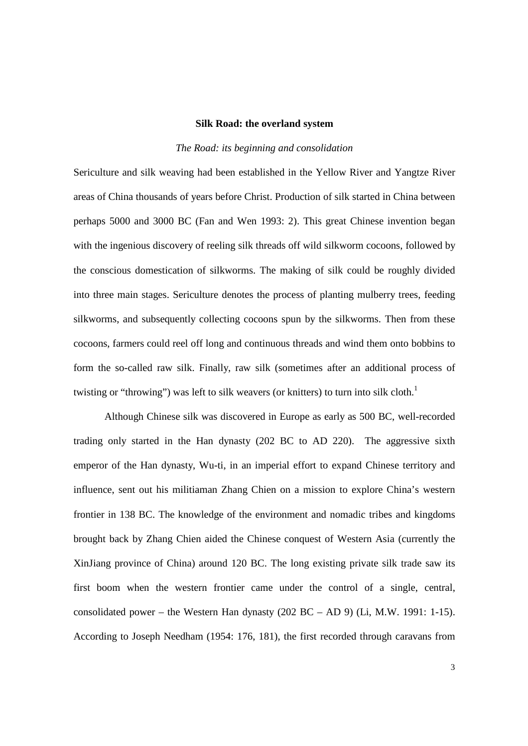### **Silk Road: the overland system**

#### *The Road: its beginning and consolidation*

Sericulture and silk weaving had been established in the Yellow River and Yangtze River areas of China thousands of years before Christ. Production of silk started in China between perhaps 5000 and 3000 BC (Fan and Wen 1993: 2). This great Chinese invention began with the ingenious discovery of reeling silk threads off wild silkworm cocoons, followed by the conscious domestication of silkworms. The making of silk could be roughly divided into three main stages. Sericulture denotes the process of planting mulberry trees, feeding silkworms, and subsequently collecting cocoons spun by the silkworms. Then from these cocoons, farmers could reel off long and continuous threads and wind them onto bobbins to form the so-called raw silk. Finally, raw silk (sometimes after an additional process of twisting or "throwing") was left to silk weavers (or knitters) to turn into silk cloth.<sup>1</sup>

Although Chinese silk was discovered in Europe as early as 500 BC, well-recorded trading only started in the Han dynasty (202 BC to AD 220). The aggressive sixth emperor of the Han dynasty, Wu-ti, in an imperial effort to expand Chinese territory and influence, sent out his militiaman Zhang Chien on a mission to explore China's western frontier in 138 BC. The knowledge of the environment and nomadic tribes and kingdoms brought back by Zhang Chien aided the Chinese conquest of Western Asia (currently the XinJiang province of China) around 120 BC. The long existing private silk trade saw its first boom when the western frontier came under the control of a single, central, consolidated power – the Western Han dynasty (202 BC – AD 9) (Li, M.W. 1991: 1-15). According to Joseph Needham (1954: 176, 181), the first recorded through caravans from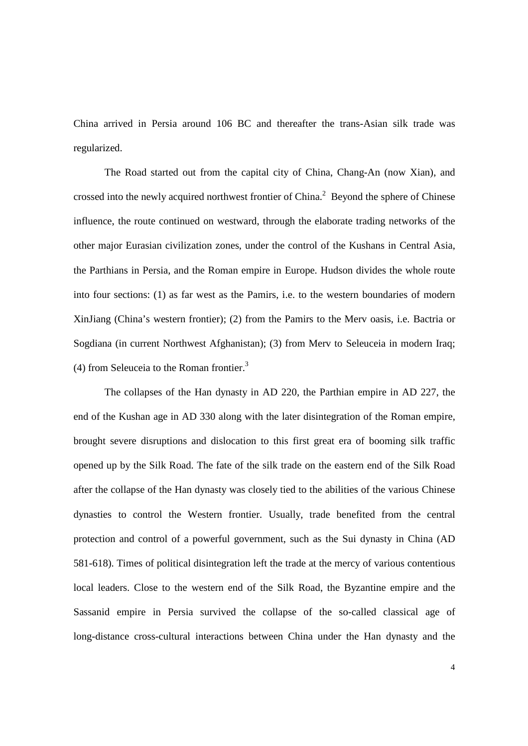China arrived in Persia around 106 BC and thereafter the trans-Asian silk trade was regularized.

The Road started out from the capital city of China, Chang-An (now Xian), and crossed into the newly acquired northwest frontier of China.<sup>2</sup> Beyond the sphere of Chinese influence, the route continued on westward, through the elaborate trading networks of the other major Eurasian civilization zones, under the control of the Kushans in Central Asia, the Parthians in Persia, and the Roman empire in Europe. Hudson divides the whole route into four sections: (1) as far west as the Pamirs, i.e. to the western boundaries of modern XinJiang (China's western frontier); (2) from the Pamirs to the Merv oasis, i.e. Bactria or Sogdiana (in current Northwest Afghanistan); (3) from Merv to Seleuceia in modern Iraq; (4) from Seleuceia to the Roman frontier.<sup>3</sup>

The collapses of the Han dynasty in AD 220, the Parthian empire in AD 227, the end of the Kushan age in AD 330 along with the later disintegration of the Roman empire, brought severe disruptions and dislocation to this first great era of booming silk traffic opened up by the Silk Road. The fate of the silk trade on the eastern end of the Silk Road after the collapse of the Han dynasty was closely tied to the abilities of the various Chinese dynasties to control the Western frontier. Usually, trade benefited from the central protection and control of a powerful government, such as the Sui dynasty in China (AD 581-618). Times of political disintegration left the trade at the mercy of various contentious local leaders. Close to the western end of the Silk Road, the Byzantine empire and the Sassanid empire in Persia survived the collapse of the so-called classical age of long-distance cross-cultural interactions between China under the Han dynasty and the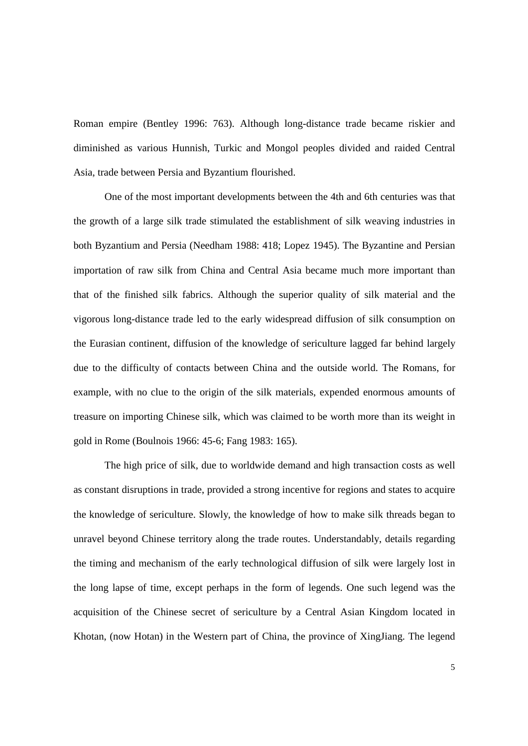Roman empire (Bentley 1996: 763). Although long-distance trade became riskier and diminished as various Hunnish, Turkic and Mongol peoples divided and raided Central Asia, trade between Persia and Byzantium flourished.

One of the most important developments between the 4th and 6th centuries was that the growth of a large silk trade stimulated the establishment of silk weaving industries in both Byzantium and Persia (Needham 1988: 418; Lopez 1945). The Byzantine and Persian importation of raw silk from China and Central Asia became much more important than that of the finished silk fabrics. Although the superior quality of silk material and the vigorous long-distance trade led to the early widespread diffusion of silk consumption on the Eurasian continent, diffusion of the knowledge of sericulture lagged far behind largely due to the difficulty of contacts between China and the outside world. The Romans, for example, with no clue to the origin of the silk materials, expended enormous amounts of treasure on importing Chinese silk, which was claimed to be worth more than its weight in gold in Rome (Boulnois 1966: 45-6; Fang 1983: 165).

The high price of silk, due to worldwide demand and high transaction costs as well as constant disruptions in trade, provided a strong incentive for regions and states to acquire the knowledge of sericulture. Slowly, the knowledge of how to make silk threads began to unravel beyond Chinese territory along the trade routes. Understandably, details regarding the timing and mechanism of the early technological diffusion of silk were largely lost in the long lapse of time, except perhaps in the form of legends. One such legend was the acquisition of the Chinese secret of sericulture by a Central Asian Kingdom located in Khotan, (now Hotan) in the Western part of China, the province of XingJiang. The legend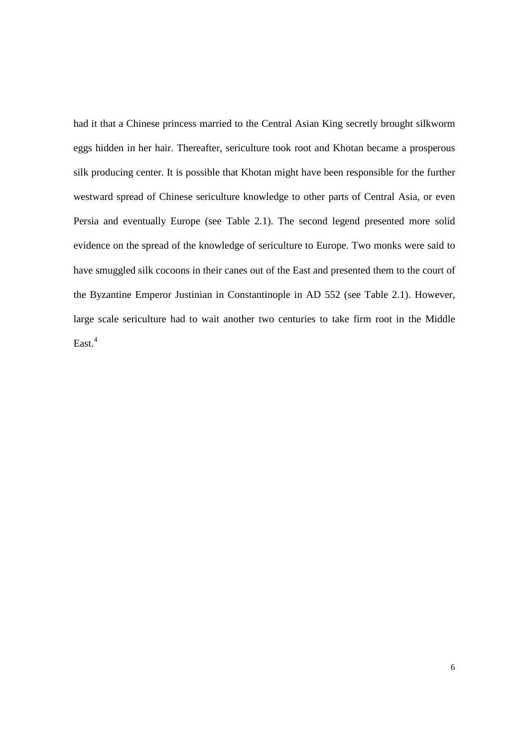had it that a Chinese princess married to the Central Asian King secretly brought silkworm eggs hidden in her hair. Thereafter, sericulture took root and Khotan became a prosperous silk producing center. It is possible that Khotan might have been responsible for the further westward spread of Chinese sericulture knowledge to other parts of Central Asia, or even Persia and eventually Europe (see Table 2.1). The second legend presented more solid evidence on the spread of the knowledge of sericulture to Europe. Two monks were said to have smuggled silk cocoons in their canes out of the East and presented them to the court of the Byzantine Emperor Justinian in Constantinople in AD 552 (see Table 2.1). However, large scale sericulture had to wait another two centuries to take firm root in the Middle East.<sup>4</sup>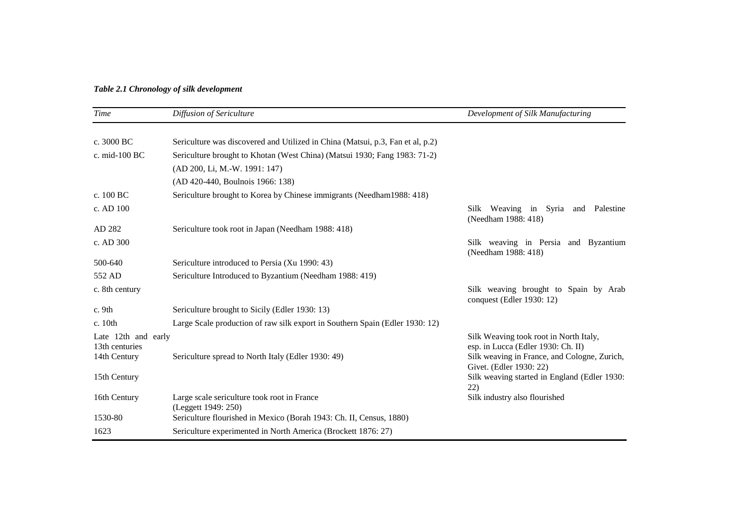# *Table 2.1 Chronology of silk development*

| Time                                                  | Diffusion of Sericulture                                                       | Development of Silk Manufacturing                                                                                                                       |
|-------------------------------------------------------|--------------------------------------------------------------------------------|---------------------------------------------------------------------------------------------------------------------------------------------------------|
|                                                       |                                                                                |                                                                                                                                                         |
| c. 3000 BC                                            | Sericulture was discovered and Utilized in China (Matsui, p.3, Fan et al, p.2) |                                                                                                                                                         |
| c. mid-100 BC                                         | Sericulture brought to Khotan (West China) (Matsui 1930; Fang 1983: 71-2)      |                                                                                                                                                         |
|                                                       | (AD 200, Li, M.-W. 1991: 147)                                                  |                                                                                                                                                         |
|                                                       | (AD 420-440, Boulnois 1966: 138)                                               |                                                                                                                                                         |
| c. 100 BC                                             | Sericulture brought to Korea by Chinese immigrants (Needham1988: 418)          |                                                                                                                                                         |
| c. AD 100                                             |                                                                                | Silk Weaving in Syria and Palestine<br>(Needham 1988: 418)                                                                                              |
| AD 282                                                | Sericulture took root in Japan (Needham 1988: 418)                             |                                                                                                                                                         |
| c. AD 300                                             |                                                                                | Silk weaving in Persia and Byzantium<br>(Needham 1988: 418)                                                                                             |
| 500-640                                               | Sericulture introduced to Persia (Xu 1990: 43)                                 |                                                                                                                                                         |
| 552 AD                                                | Sericulture Introduced to Byzantium (Needham 1988: 419)                        |                                                                                                                                                         |
| c. 8th century                                        |                                                                                | Silk weaving brought to Spain by Arab<br>conquest (Edler 1930: 12)                                                                                      |
| c.9th                                                 | Sericulture brought to Sicily (Edler 1930: 13)                                 |                                                                                                                                                         |
| c. 10th                                               | Large Scale production of raw silk export in Southern Spain (Edler 1930: 12)   |                                                                                                                                                         |
| Late 12th and early<br>13th centuries<br>14th Century | Sericulture spread to North Italy (Edler 1930: 49)                             | Silk Weaving took root in North Italy,<br>esp. in Lucca (Edler 1930: Ch. II)<br>Silk weaving in France, and Cologne, Zurich,<br>Givet. (Edler 1930: 22) |
| 15th Century                                          |                                                                                | Silk weaving started in England (Edler 1930:<br>22)                                                                                                     |
| 16th Century                                          | Large scale sericulture took root in France<br>(Leggett 1949: 250)             | Silk industry also flourished                                                                                                                           |
| 1530-80                                               | Sericulture flourished in Mexico (Borah 1943: Ch. II, Census, 1880)            |                                                                                                                                                         |
| 1623                                                  | Sericulture experimented in North America (Brockett 1876: 27)                  |                                                                                                                                                         |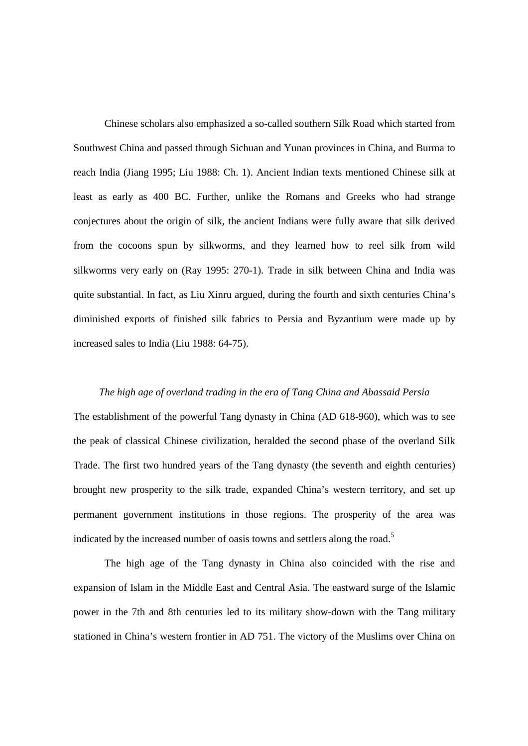Chinese scholars also emphasized a so-called southern Silk Road which started from Southwest China and passed through Sichuan and Yunan provinces in China, and Burma to reach India (Jiang 1995; Liu 1988: Ch. 1). Ancient Indian texts mentioned Chinese silk at least as early as 400 BC. Further, unlike the Romans and Greeks who had strange conjectures about the origin of silk, the ancient Indians were fully aware that silk derived from the cocoons spun by silkworms, and they learned how to reel silk from wild silkworms very early on (Ray 1995: 270-1). Trade in silk between China and India was quite substantial. In fact, as Liu Xinru argued, during the fourth and sixth centuries China's diminished exports of finished silk fabrics to Persia and Byzantium were made up by increased sales to India (Liu 1988: 64-75).

## *The high age of overland trading in the era of Tang China and Abassaid Persia*

The establishment of the powerful Tang dynasty in China (AD 618-960), which was to see the peak of classical Chinese civilization, heralded the second phase of the overland Silk Trade. The first two hundred years of the Tang dynasty (the seventh and eighth centuries) brought new prosperity to the silk trade, expanded China's western territory, and set up permanent government institutions in those regions. The prosperity of the area was indicated by the increased number of oasis towns and settlers along the road.<sup>5</sup>

The high age of the Tang dynasty in China also coincided with the rise and expansion of Islam in the Middle East and Central Asia. The eastward surge of the Islamic power in the 7th and 8th centuries led to its military show-down with the Tang military stationed in China's western frontier in AD 751. The victory of the Muslims over China on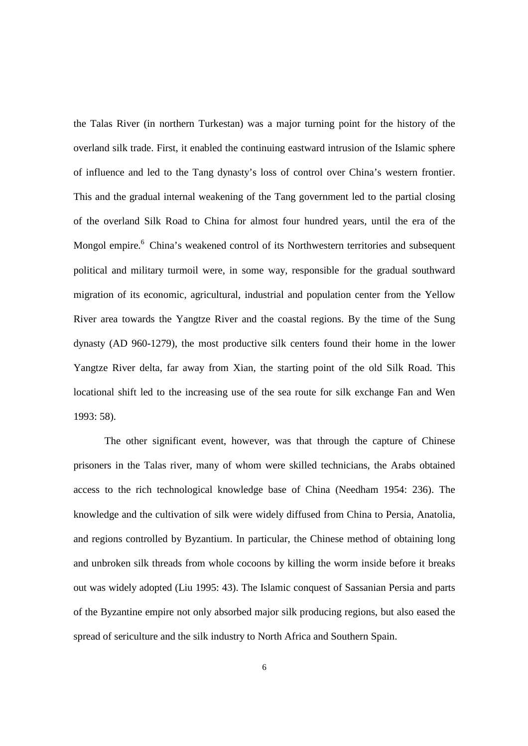the Talas River (in northern Turkestan) was a major turning point for the history of the overland silk trade. First, it enabled the continuing eastward intrusion of the Islamic sphere of influence and led to the Tang dynasty's loss of control over China's western frontier. This and the gradual internal weakening of the Tang government led to the partial closing of the overland Silk Road to China for almost four hundred years, until the era of the Mongol empire.<sup>6</sup> China's weakened control of its Northwestern territories and subsequent political and military turmoil were, in some way, responsible for the gradual southward migration of its economic, agricultural, industrial and population center from the Yellow River area towards the Yangtze River and the coastal regions. By the time of the Sung dynasty (AD 960-1279), the most productive silk centers found their home in the lower Yangtze River delta, far away from Xian, the starting point of the old Silk Road. This locational shift led to the increasing use of the sea route for silk exchange Fan and Wen 1993: 58).

The other significant event, however, was that through the capture of Chinese prisoners in the Talas river, many of whom were skilled technicians, the Arabs obtained access to the rich technological knowledge base of China (Needham 1954: 236). The knowledge and the cultivation of silk were widely diffused from China to Persia, Anatolia, and regions controlled by Byzantium. In particular, the Chinese method of obtaining long and unbroken silk threads from whole cocoons by killing the worm inside before it breaks out was widely adopted (Liu 1995: 43). The Islamic conquest of Sassanian Persia and parts of the Byzantine empire not only absorbed major silk producing regions, but also eased the spread of sericulture and the silk industry to North Africa and Southern Spain.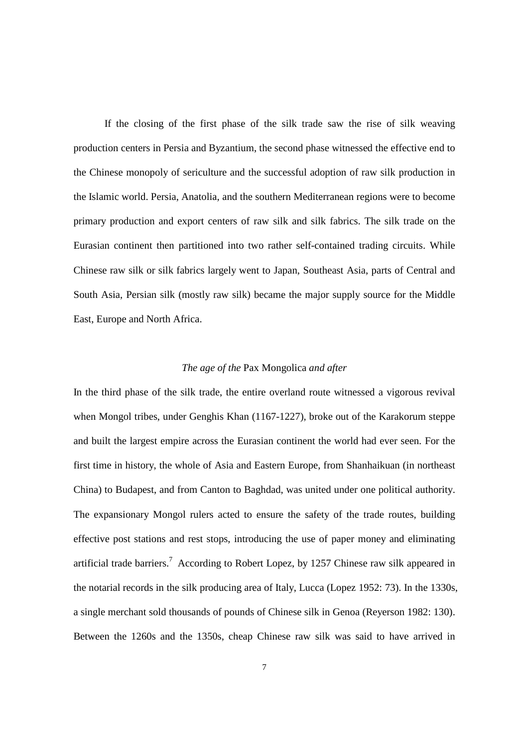If the closing of the first phase of the silk trade saw the rise of silk weaving production centers in Persia and Byzantium, the second phase witnessed the effective end to the Chinese monopoly of sericulture and the successful adoption of raw silk production in the Islamic world. Persia, Anatolia, and the southern Mediterranean regions were to become primary production and export centers of raw silk and silk fabrics. The silk trade on the Eurasian continent then partitioned into two rather self-contained trading circuits. While Chinese raw silk or silk fabrics largely went to Japan, Southeast Asia, parts of Central and South Asia, Persian silk (mostly raw silk) became the major supply source for the Middle East, Europe and North Africa.

#### *The age of the* Pax Mongolica *and after*

In the third phase of the silk trade, the entire overland route witnessed a vigorous revival when Mongol tribes, under Genghis Khan (1167-1227), broke out of the Karakorum steppe and built the largest empire across the Eurasian continent the world had ever seen. For the first time in history, the whole of Asia and Eastern Europe, from Shanhaikuan (in northeast China) to Budapest, and from Canton to Baghdad, was united under one political authority. The expansionary Mongol rulers acted to ensure the safety of the trade routes, building effective post stations and rest stops, introducing the use of paper money and eliminating artificial trade barriers.<sup>7</sup> According to Robert Lopez, by 1257 Chinese raw silk appeared in the notarial records in the silk producing area of Italy, Lucca (Lopez 1952: 73). In the 1330s, a single merchant sold thousands of pounds of Chinese silk in Genoa (Reyerson 1982: 130). Between the 1260s and the 1350s, cheap Chinese raw silk was said to have arrived in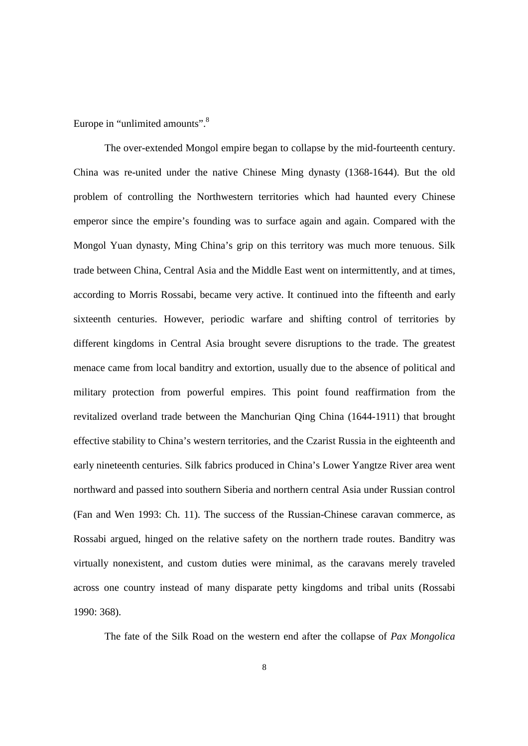Europe in "unlimited amounts".<sup>8</sup>

The over-extended Mongol empire began to collapse by the mid-fourteenth century. China was re-united under the native Chinese Ming dynasty (1368-1644). But the old problem of controlling the Northwestern territories which had haunted every Chinese emperor since the empire's founding was to surface again and again. Compared with the Mongol Yuan dynasty, Ming China's grip on this territory was much more tenuous. Silk trade between China, Central Asia and the Middle East went on intermittently, and at times, according to Morris Rossabi, became very active. It continued into the fifteenth and early sixteenth centuries. However, periodic warfare and shifting control of territories by different kingdoms in Central Asia brought severe disruptions to the trade. The greatest menace came from local banditry and extortion, usually due to the absence of political and military protection from powerful empires. This point found reaffirmation from the revitalized overland trade between the Manchurian Qing China (1644-1911) that brought effective stability to China's western territories, and the Czarist Russia in the eighteenth and early nineteenth centuries. Silk fabrics produced in China's Lower Yangtze River area went northward and passed into southern Siberia and northern central Asia under Russian control (Fan and Wen 1993: Ch. 11). The success of the Russian-Chinese caravan commerce, as Rossabi argued, hinged on the relative safety on the northern trade routes. Banditry was virtually nonexistent, and custom duties were minimal, as the caravans merely traveled across one country instead of many disparate petty kingdoms and tribal units (Rossabi 1990: 368).

The fate of the Silk Road on the western end after the collapse of *Pax Mongolica*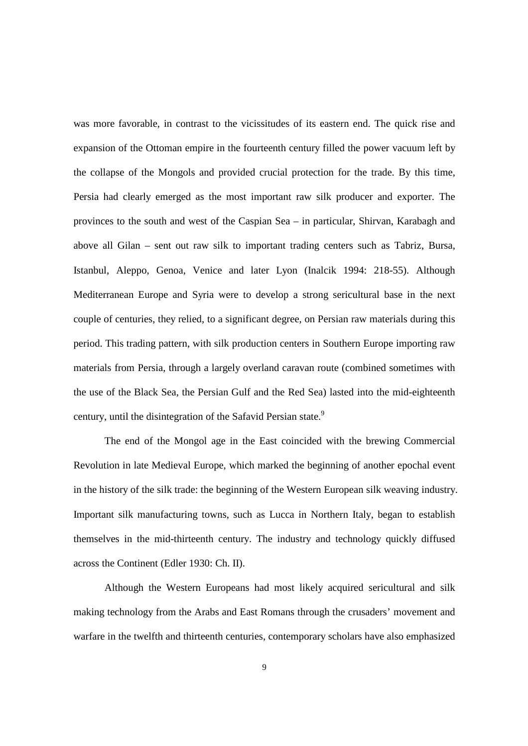was more favorable, in contrast to the vicissitudes of its eastern end. The quick rise and expansion of the Ottoman empire in the fourteenth century filled the power vacuum left by the collapse of the Mongols and provided crucial protection for the trade. By this time, Persia had clearly emerged as the most important raw silk producer and exporter. The provinces to the south and west of the Caspian Sea – in particular, Shirvan, Karabagh and above all Gilan – sent out raw silk to important trading centers such as Tabriz, Bursa, Istanbul, Aleppo, Genoa, Venice and later Lyon (Inalcik 1994: 218-55). Although Mediterranean Europe and Syria were to develop a strong sericultural base in the next couple of centuries, they relied, to a significant degree, on Persian raw materials during this period. This trading pattern, with silk production centers in Southern Europe importing raw materials from Persia, through a largely overland caravan route (combined sometimes with the use of the Black Sea, the Persian Gulf and the Red Sea) lasted into the mid-eighteenth century, until the disintegration of the Safavid Persian state.<sup>9</sup>

The end of the Mongol age in the East coincided with the brewing Commercial Revolution in late Medieval Europe, which marked the beginning of another epochal event in the history of the silk trade: the beginning of the Western European silk weaving industry. Important silk manufacturing towns, such as Lucca in Northern Italy, began to establish themselves in the mid-thirteenth century. The industry and technology quickly diffused across the Continent (Edler 1930: Ch. II).

Although the Western Europeans had most likely acquired sericultural and silk making technology from the Arabs and East Romans through the crusaders' movement and warfare in the twelfth and thirteenth centuries, contemporary scholars have also emphasized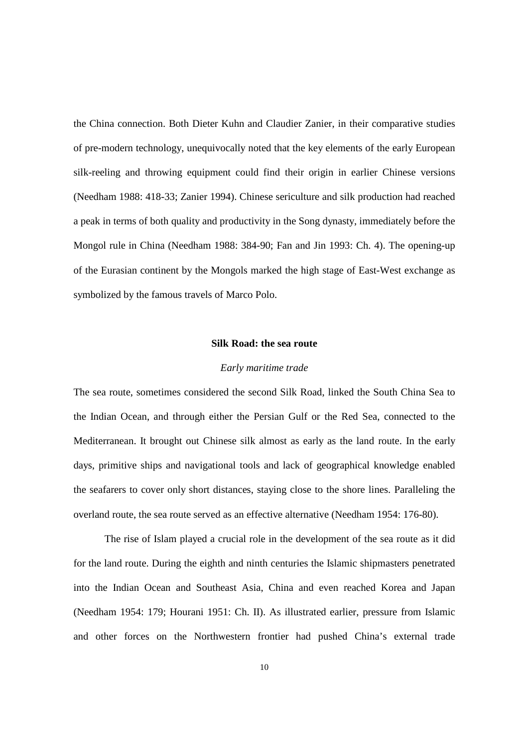the China connection. Both Dieter Kuhn and Claudier Zanier, in their comparative studies of pre-modern technology, unequivocally noted that the key elements of the early European silk-reeling and throwing equipment could find their origin in earlier Chinese versions (Needham 1988: 418-33; Zanier 1994). Chinese sericulture and silk production had reached a peak in terms of both quality and productivity in the Song dynasty, immediately before the Mongol rule in China (Needham 1988: 384-90; Fan and Jin 1993: Ch. 4). The opening-up of the Eurasian continent by the Mongols marked the high stage of East-West exchange as symbolized by the famous travels of Marco Polo.

#### **Silk Road: the sea route**

#### *Early maritime trade*

The sea route, sometimes considered the second Silk Road, linked the South China Sea to the Indian Ocean, and through either the Persian Gulf or the Red Sea, connected to the Mediterranean. It brought out Chinese silk almost as early as the land route. In the early days, primitive ships and navigational tools and lack of geographical knowledge enabled the seafarers to cover only short distances, staying close to the shore lines. Paralleling the overland route, the sea route served as an effective alternative (Needham 1954: 176-80).

The rise of Islam played a crucial role in the development of the sea route as it did for the land route. During the eighth and ninth centuries the Islamic shipmasters penetrated into the Indian Ocean and Southeast Asia, China and even reached Korea and Japan (Needham 1954: 179; Hourani 1951: Ch. II). As illustrated earlier, pressure from Islamic and other forces on the Northwestern frontier had pushed China's external trade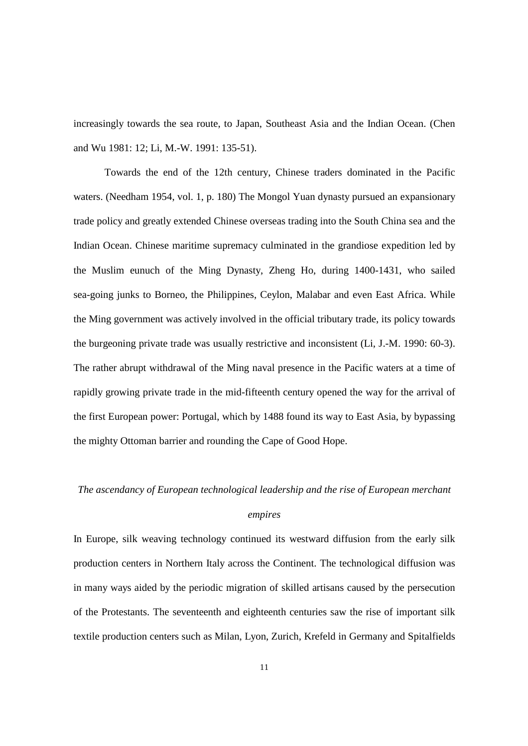increasingly towards the sea route, to Japan, Southeast Asia and the Indian Ocean. (Chen and Wu 1981: 12; Li, M.-W. 1991: 135-51).

Towards the end of the 12th century, Chinese traders dominated in the Pacific waters. (Needham 1954, vol. 1, p. 180) The Mongol Yuan dynasty pursued an expansionary trade policy and greatly extended Chinese overseas trading into the South China sea and the Indian Ocean. Chinese maritime supremacy culminated in the grandiose expedition led by the Muslim eunuch of the Ming Dynasty, Zheng Ho, during 1400-1431, who sailed sea-going junks to Borneo, the Philippines, Ceylon, Malabar and even East Africa. While the Ming government was actively involved in the official tributary trade, its policy towards the burgeoning private trade was usually restrictive and inconsistent (Li, J.-M. 1990: 60-3). The rather abrupt withdrawal of the Ming naval presence in the Pacific waters at a time of rapidly growing private trade in the mid-fifteenth century opened the way for the arrival of the first European power: Portugal, which by 1488 found its way to East Asia, by bypassing the mighty Ottoman barrier and rounding the Cape of Good Hope.

# *The ascendancy of European technological leadership and the rise of European merchant empires*

In Europe, silk weaving technology continued its westward diffusion from the early silk production centers in Northern Italy across the Continent. The technological diffusion was in many ways aided by the periodic migration of skilled artisans caused by the persecution of the Protestants. The seventeenth and eighteenth centuries saw the rise of important silk textile production centers such as Milan, Lyon, Zurich, Krefeld in Germany and Spitalfields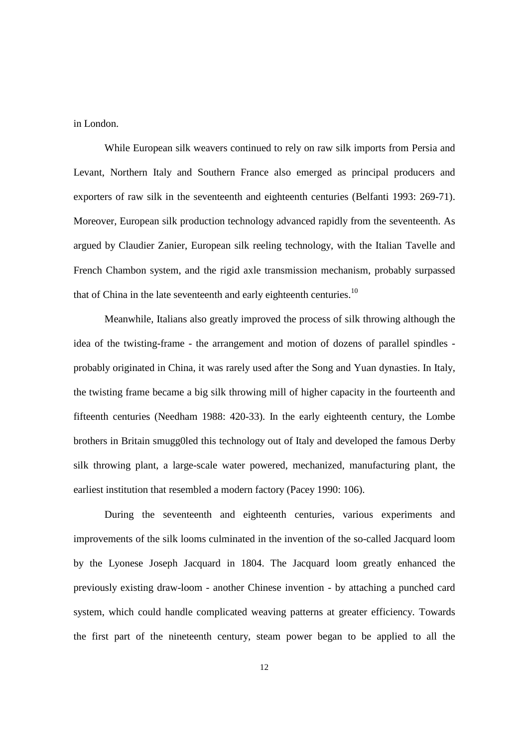in London.

While European silk weavers continued to rely on raw silk imports from Persia and Levant, Northern Italy and Southern France also emerged as principal producers and exporters of raw silk in the seventeenth and eighteenth centuries (Belfanti 1993: 269-71). Moreover, European silk production technology advanced rapidly from the seventeenth. As argued by Claudier Zanier, European silk reeling technology, with the Italian Tavelle and French Chambon system, and the rigid axle transmission mechanism, probably surpassed that of China in the late seventeenth and early eighteenth centuries.<sup>10</sup>

Meanwhile, Italians also greatly improved the process of silk throwing although the idea of the twisting-frame - the arrangement and motion of dozens of parallel spindles probably originated in China, it was rarely used after the Song and Yuan dynasties. In Italy, the twisting frame became a big silk throwing mill of higher capacity in the fourteenth and fifteenth centuries (Needham 1988: 420-33). In the early eighteenth century, the Lombe brothers in Britain smugg0led this technology out of Italy and developed the famous Derby silk throwing plant, a large-scale water powered, mechanized, manufacturing plant, the earliest institution that resembled a modern factory (Pacey 1990: 106).

During the seventeenth and eighteenth centuries, various experiments and improvements of the silk looms culminated in the invention of the so-called Jacquard loom by the Lyonese Joseph Jacquard in 1804. The Jacquard loom greatly enhanced the previously existing draw-loom - another Chinese invention - by attaching a punched card system, which could handle complicated weaving patterns at greater efficiency. Towards the first part of the nineteenth century, steam power began to be applied to all the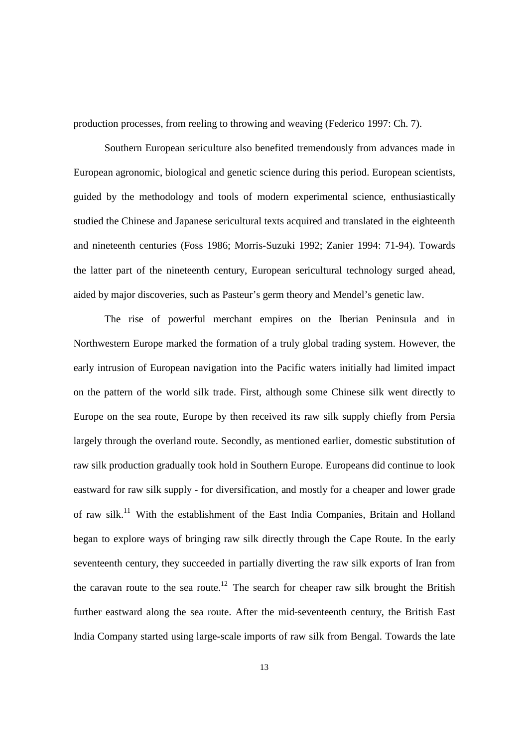production processes, from reeling to throwing and weaving (Federico 1997: Ch. 7).

Southern European sericulture also benefited tremendously from advances made in European agronomic, biological and genetic science during this period. European scientists, guided by the methodology and tools of modern experimental science, enthusiastically studied the Chinese and Japanese sericultural texts acquired and translated in the eighteenth and nineteenth centuries (Foss 1986; Morris-Suzuki 1992; Zanier 1994: 71-94). Towards the latter part of the nineteenth century, European sericultural technology surged ahead, aided by major discoveries, such as Pasteur's germ theory and Mendel's genetic law.

The rise of powerful merchant empires on the Iberian Peninsula and in Northwestern Europe marked the formation of a truly global trading system. However, the early intrusion of European navigation into the Pacific waters initially had limited impact on the pattern of the world silk trade. First, although some Chinese silk went directly to Europe on the sea route, Europe by then received its raw silk supply chiefly from Persia largely through the overland route. Secondly, as mentioned earlier, domestic substitution of raw silk production gradually took hold in Southern Europe. Europeans did continue to look eastward for raw silk supply - for diversification, and mostly for a cheaper and lower grade of raw silk.<sup>11</sup> With the establishment of the East India Companies, Britain and Holland began to explore ways of bringing raw silk directly through the Cape Route. In the early seventeenth century, they succeeded in partially diverting the raw silk exports of Iran from the caravan route to the sea route.<sup>12</sup> The search for cheaper raw silk brought the British further eastward along the sea route. After the mid-seventeenth century, the British East India Company started using large-scale imports of raw silk from Bengal. Towards the late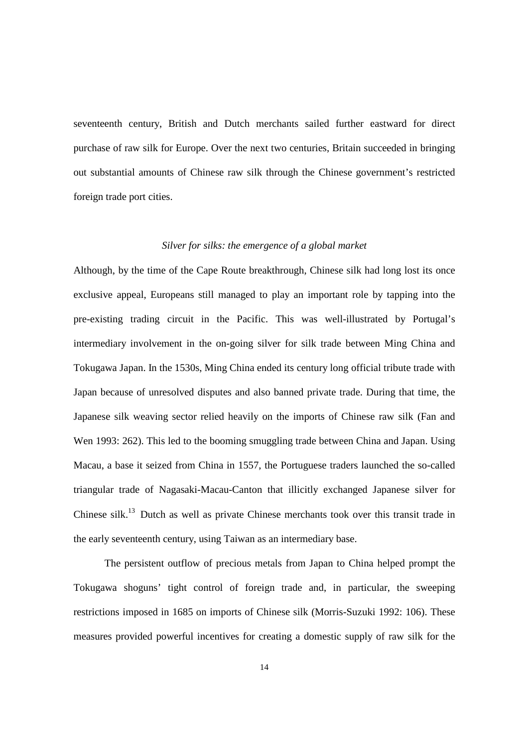seventeenth century, British and Dutch merchants sailed further eastward for direct purchase of raw silk for Europe. Over the next two centuries, Britain succeeded in bringing out substantial amounts of Chinese raw silk through the Chinese government's restricted foreign trade port cities.

## *Silver for silks: the emergence of a global market*

Although, by the time of the Cape Route breakthrough, Chinese silk had long lost its once exclusive appeal, Europeans still managed to play an important role by tapping into the pre-existing trading circuit in the Pacific. This was well-illustrated by Portugal's intermediary involvement in the on-going silver for silk trade between Ming China and Tokugawa Japan. In the 1530s, Ming China ended its century long official tribute trade with Japan because of unresolved disputes and also banned private trade. During that time, the Japanese silk weaving sector relied heavily on the imports of Chinese raw silk (Fan and Wen 1993: 262). This led to the booming smuggling trade between China and Japan. Using Macau, a base it seized from China in 1557, the Portuguese traders launched the so-called triangular trade of Nagasaki-Macau-Canton that illicitly exchanged Japanese silver for Chinese silk.<sup>13</sup> Dutch as well as private Chinese merchants took over this transit trade in the early seventeenth century, using Taiwan as an intermediary base.

The persistent outflow of precious metals from Japan to China helped prompt the Tokugawa shoguns' tight control of foreign trade and, in particular, the sweeping restrictions imposed in 1685 on imports of Chinese silk (Morris-Suzuki 1992: 106). These measures provided powerful incentives for creating a domestic supply of raw silk for the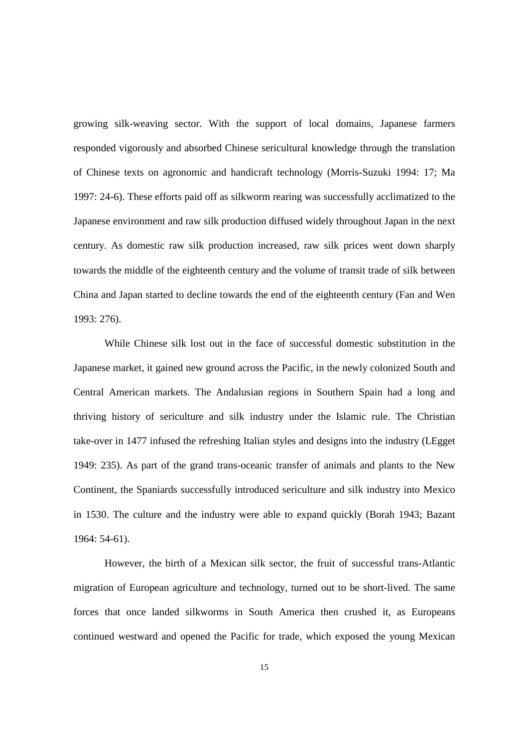growing silk-weaving sector. With the support of local domains, Japanese farmers responded vigorously and absorbed Chinese sericultural knowledge through the translation of Chinese texts on agronomic and handicraft technology (Morris-Suzuki 1994: 17; Ma 1997: 24-6). These efforts paid off as silkworm rearing was successfully acclimatized to the Japanese environment and raw silk production diffused widely throughout Japan in the next century. As domestic raw silk production increased, raw silk prices went down sharply towards the middle of the eighteenth century and the volume of transit trade of silk between China and Japan started to decline towards the end of the eighteenth century (Fan and Wen 1993: 276).

While Chinese silk lost out in the face of successful domestic substitution in the Japanese market, it gained new ground across the Pacific, in the newly colonized South and Central American markets. The Andalusian regions in Southern Spain had a long and thriving history of sericulture and silk industry under the Islamic rule. The Christian take-over in 1477 infused the refreshing Italian styles and designs into the industry (LEgget 1949: 235). As part of the grand trans-oceanic transfer of animals and plants to the New Continent, the Spaniards successfully introduced sericulture and silk industry into Mexico in 1530. The culture and the industry were able to expand quickly (Borah 1943; Bazant 1964: 54-61).

However, the birth of a Mexican silk sector, the fruit of successful trans-Atlantic migration of European agriculture and technology, turned out to be short-lived. The same forces that once landed silkworms in South America then crushed it, as Europeans continued westward and opened the Pacific for trade, which exposed the young Mexican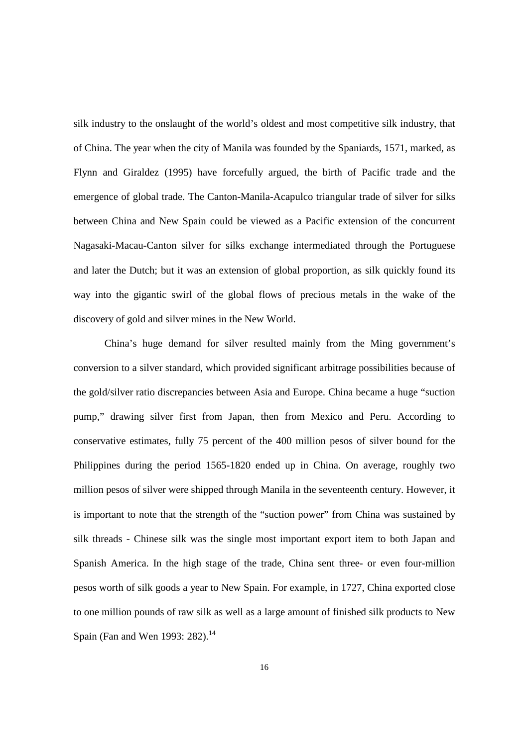silk industry to the onslaught of the world's oldest and most competitive silk industry, that of China. The year when the city of Manila was founded by the Spaniards, 1571, marked, as Flynn and Giraldez (1995) have forcefully argued, the birth of Pacific trade and the emergence of global trade. The Canton-Manila-Acapulco triangular trade of silver for silks between China and New Spain could be viewed as a Pacific extension of the concurrent Nagasaki-Macau-Canton silver for silks exchange intermediated through the Portuguese and later the Dutch; but it was an extension of global proportion, as silk quickly found its way into the gigantic swirl of the global flows of precious metals in the wake of the discovery of gold and silver mines in the New World.

China's huge demand for silver resulted mainly from the Ming government's conversion to a silver standard, which provided significant arbitrage possibilities because of the gold/silver ratio discrepancies between Asia and Europe. China became a huge "suction pump," drawing silver first from Japan, then from Mexico and Peru. According to conservative estimates, fully 75 percent of the 400 million pesos of silver bound for the Philippines during the period 1565-1820 ended up in China. On average, roughly two million pesos of silver were shipped through Manila in the seventeenth century. However, it is important to note that the strength of the "suction power" from China was sustained by silk threads - Chinese silk was the single most important export item to both Japan and Spanish America. In the high stage of the trade, China sent three- or even four-million pesos worth of silk goods a year to New Spain. For example, in 1727, China exported close to one million pounds of raw silk as well as a large amount of finished silk products to New Spain (Fan and Wen 1993: 282).<sup>14</sup>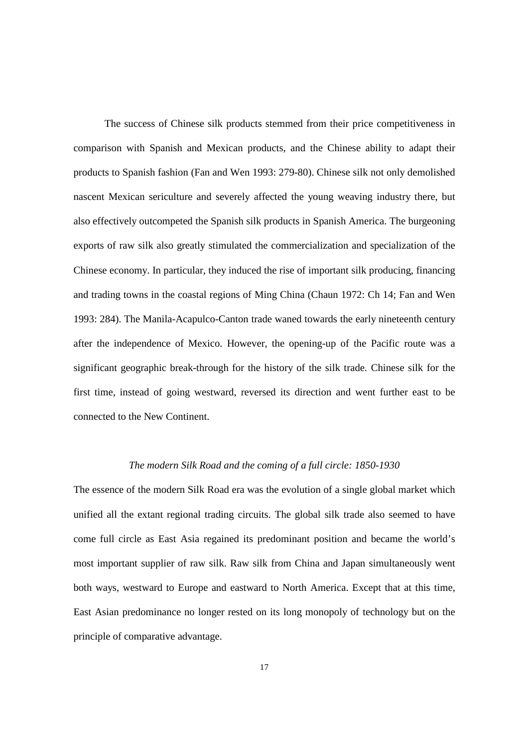The success of Chinese silk products stemmed from their price competitiveness in comparison with Spanish and Mexican products, and the Chinese ability to adapt their products to Spanish fashion (Fan and Wen 1993: 279-80). Chinese silk not only demolished nascent Mexican sericulture and severely affected the young weaving industry there, but also effectively outcompeted the Spanish silk products in Spanish America. The burgeoning exports of raw silk also greatly stimulated the commercialization and specialization of the Chinese economy. In particular, they induced the rise of important silk producing, financing and trading towns in the coastal regions of Ming China (Chaun 1972: Ch 14; Fan and Wen 1993: 284). The Manila-Acapulco-Canton trade waned towards the early nineteenth century after the independence of Mexico. However, the opening-up of the Pacific route was a significant geographic break-through for the history of the silk trade. Chinese silk for the first time, instead of going westward, reversed its direction and went further east to be connected to the New Continent.

## *The modern Silk Road and the coming of a full circle: 1850-1930*

The essence of the modern Silk Road era was the evolution of a single global market which unified all the extant regional trading circuits. The global silk trade also seemed to have come full circle as East Asia regained its predominant position and became the world's most important supplier of raw silk. Raw silk from China and Japan simultaneously went both ways, westward to Europe and eastward to North America. Except that at this time, East Asian predominance no longer rested on its long monopoly of technology but on the principle of comparative advantage.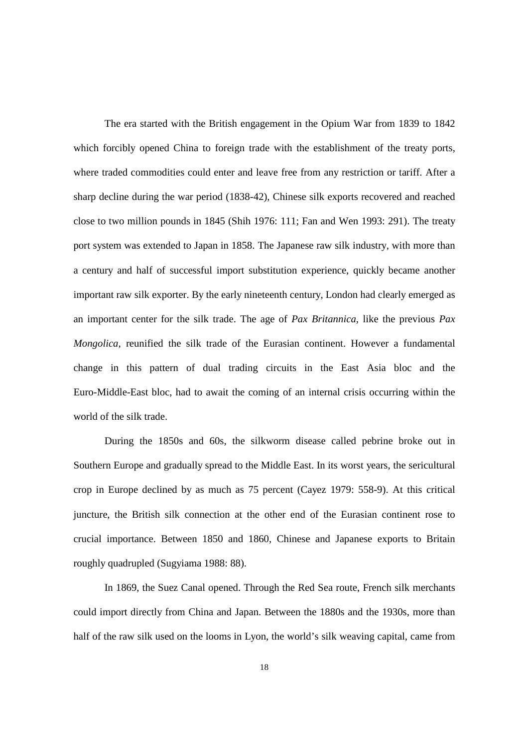The era started with the British engagement in the Opium War from 1839 to 1842 which forcibly opened China to foreign trade with the establishment of the treaty ports, where traded commodities could enter and leave free from any restriction or tariff. After a sharp decline during the war period (1838-42), Chinese silk exports recovered and reached close to two million pounds in 1845 (Shih 1976: 111; Fan and Wen 1993: 291). The treaty port system was extended to Japan in 1858. The Japanese raw silk industry, with more than a century and half of successful import substitution experience, quickly became another important raw silk exporter. By the early nineteenth century, London had clearly emerged as an important center for the silk trade. The age of *Pax Britannica*, like the previous *Pax Mongolica,* reunified the silk trade of the Eurasian continent. However a fundamental change in this pattern of dual trading circuits in the East Asia bloc and the Euro-Middle-East bloc, had to await the coming of an internal crisis occurring within the world of the silk trade.

During the 1850s and 60s, the silkworm disease called pebrine broke out in Southern Europe and gradually spread to the Middle East. In its worst years, the sericultural crop in Europe declined by as much as 75 percent (Cayez 1979: 558-9). At this critical juncture, the British silk connection at the other end of the Eurasian continent rose to crucial importance. Between 1850 and 1860, Chinese and Japanese exports to Britain roughly quadrupled (Sugyiama 1988: 88).

In 1869, the Suez Canal opened. Through the Red Sea route, French silk merchants could import directly from China and Japan. Between the 1880s and the 1930s, more than half of the raw silk used on the looms in Lyon, the world's silk weaving capital, came from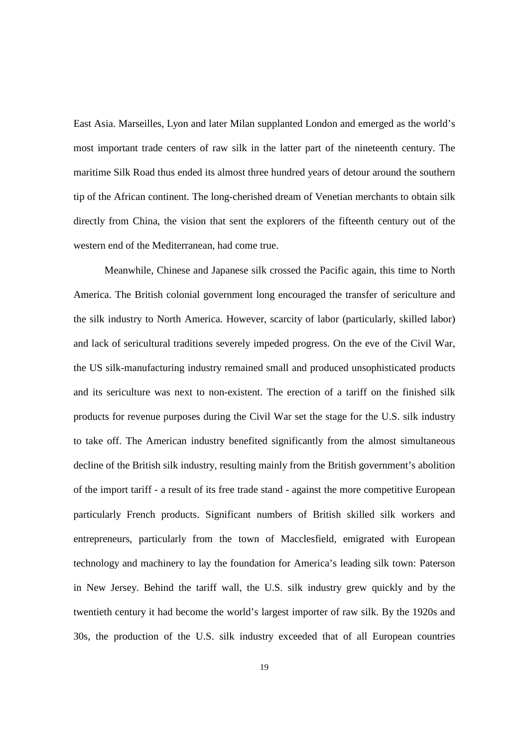East Asia. Marseilles, Lyon and later Milan supplanted London and emerged as the world's most important trade centers of raw silk in the latter part of the nineteenth century. The maritime Silk Road thus ended its almost three hundred years of detour around the southern tip of the African continent. The long-cherished dream of Venetian merchants to obtain silk directly from China, the vision that sent the explorers of the fifteenth century out of the western end of the Mediterranean, had come true.

Meanwhile, Chinese and Japanese silk crossed the Pacific again, this time to North America. The British colonial government long encouraged the transfer of sericulture and the silk industry to North America. However, scarcity of labor (particularly, skilled labor) and lack of sericultural traditions severely impeded progress. On the eve of the Civil War, the US silk-manufacturing industry remained small and produced unsophisticated products and its sericulture was next to non-existent. The erection of a tariff on the finished silk products for revenue purposes during the Civil War set the stage for the U.S. silk industry to take off. The American industry benefited significantly from the almost simultaneous decline of the British silk industry, resulting mainly from the British government's abolition of the import tariff - a result of its free trade stand - against the more competitive European particularly French products. Significant numbers of British skilled silk workers and entrepreneurs, particularly from the town of Macclesfield, emigrated with European technology and machinery to lay the foundation for America's leading silk town: Paterson in New Jersey. Behind the tariff wall, the U.S. silk industry grew quickly and by the twentieth century it had become the world's largest importer of raw silk. By the 1920s and 30s, the production of the U.S. silk industry exceeded that of all European countries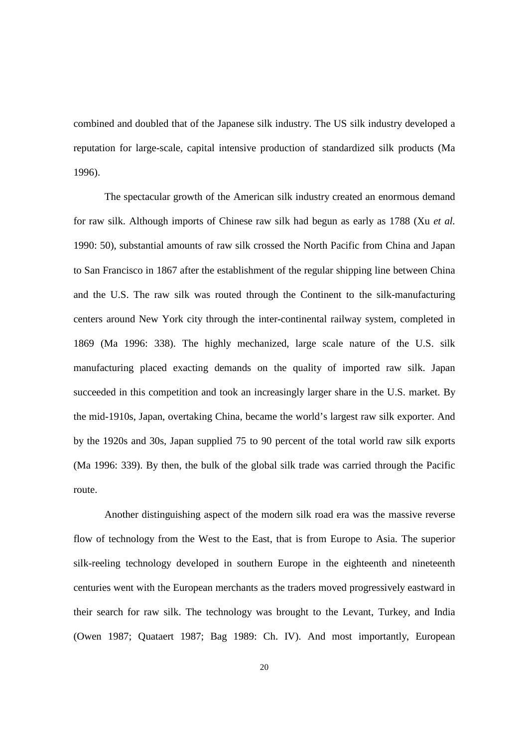combined and doubled that of the Japanese silk industry. The US silk industry developed a reputation for large-scale, capital intensive production of standardized silk products (Ma 1996).

The spectacular growth of the American silk industry created an enormous demand for raw silk. Although imports of Chinese raw silk had begun as early as 1788 (Xu *et al.* 1990: 50), substantial amounts of raw silk crossed the North Pacific from China and Japan to San Francisco in 1867 after the establishment of the regular shipping line between China and the U.S. The raw silk was routed through the Continent to the silk-manufacturing centers around New York city through the inter-continental railway system, completed in 1869 (Ma 1996: 338). The highly mechanized, large scale nature of the U.S. silk manufacturing placed exacting demands on the quality of imported raw silk. Japan succeeded in this competition and took an increasingly larger share in the U.S. market. By the mid-1910s, Japan, overtaking China, became the world's largest raw silk exporter. And by the 1920s and 30s, Japan supplied 75 to 90 percent of the total world raw silk exports (Ma 1996: 339). By then, the bulk of the global silk trade was carried through the Pacific route.

Another distinguishing aspect of the modern silk road era was the massive reverse flow of technology from the West to the East, that is from Europe to Asia. The superior silk-reeling technology developed in southern Europe in the eighteenth and nineteenth centuries went with the European merchants as the traders moved progressively eastward in their search for raw silk. The technology was brought to the Levant, Turkey, and India (Owen 1987; Quataert 1987; Bag 1989: Ch. IV). And most importantly, European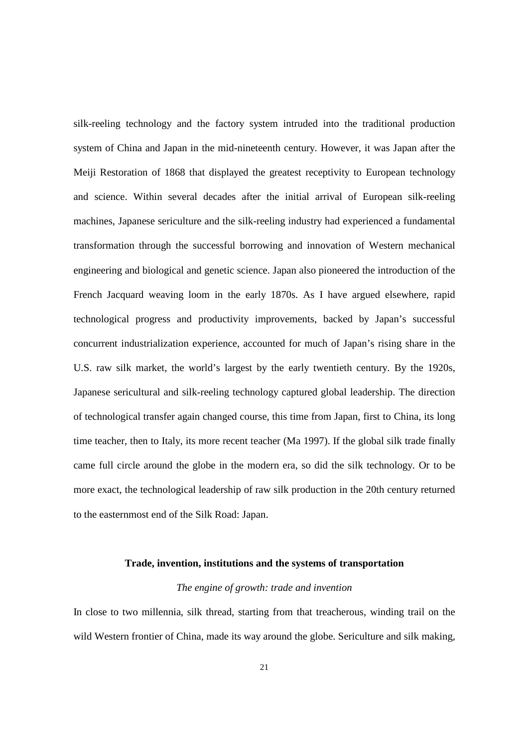silk-reeling technology and the factory system intruded into the traditional production system of China and Japan in the mid-nineteenth century. However, it was Japan after the Meiji Restoration of 1868 that displayed the greatest receptivity to European technology and science. Within several decades after the initial arrival of European silk-reeling machines, Japanese sericulture and the silk-reeling industry had experienced a fundamental transformation through the successful borrowing and innovation of Western mechanical engineering and biological and genetic science. Japan also pioneered the introduction of the French Jacquard weaving loom in the early 1870s. As I have argued elsewhere, rapid technological progress and productivity improvements, backed by Japan's successful concurrent industrialization experience, accounted for much of Japan's rising share in the U.S. raw silk market, the world's largest by the early twentieth century. By the 1920s, Japanese sericultural and silk-reeling technology captured global leadership. The direction of technological transfer again changed course, this time from Japan, first to China, its long time teacher, then to Italy, its more recent teacher (Ma 1997). If the global silk trade finally came full circle around the globe in the modern era, so did the silk technology. Or to be more exact, the technological leadership of raw silk production in the 20th century returned to the easternmost end of the Silk Road: Japan.

#### **Trade, invention, institutions and the systems of transportation**

# *The engine of growth: trade and invention*

In close to two millennia, silk thread, starting from that treacherous, winding trail on the wild Western frontier of China, made its way around the globe. Sericulture and silk making,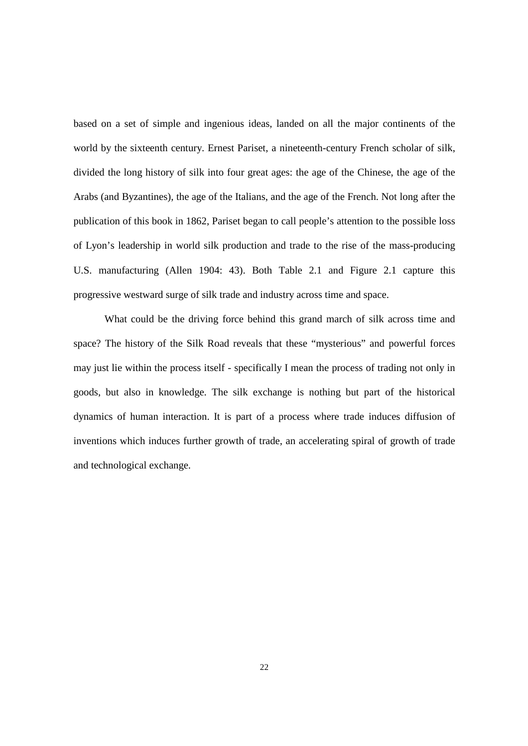based on a set of simple and ingenious ideas, landed on all the major continents of the world by the sixteenth century. Ernest Pariset, a nineteenth-century French scholar of silk, divided the long history of silk into four great ages: the age of the Chinese, the age of the Arabs (and Byzantines), the age of the Italians, and the age of the French. Not long after the publication of this book in 1862, Pariset began to call people's attention to the possible loss of Lyon's leadership in world silk production and trade to the rise of the mass-producing U.S. manufacturing (Allen 1904: 43). Both Table 2.1 and Figure 2.1 capture this progressive westward surge of silk trade and industry across time and space.

What could be the driving force behind this grand march of silk across time and space? The history of the Silk Road reveals that these "mysterious" and powerful forces may just lie within the process itself - specifically I mean the process of trading not only in goods, but also in knowledge. The silk exchange is nothing but part of the historical dynamics of human interaction. It is part of a process where trade induces diffusion of inventions which induces further growth of trade, an accelerating spiral of growth of trade and technological exchange.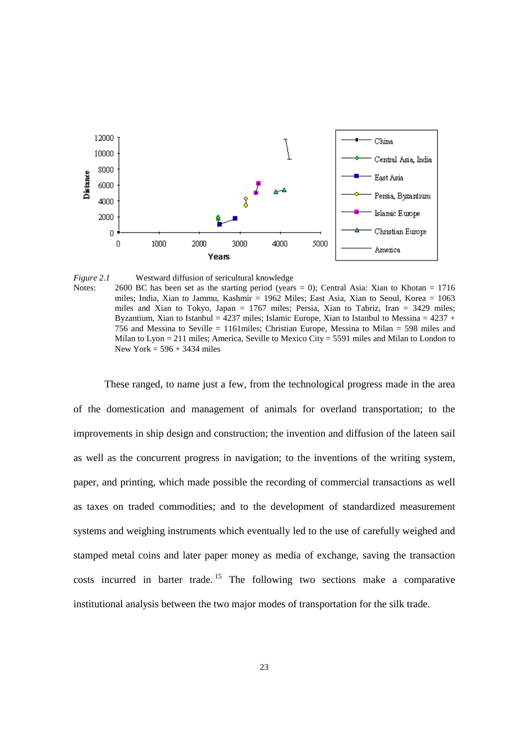

*Figure 2.1* Westward diffusion of sericultural knowledge Notes: 2600 BC has been set as the starting period (years = 0); Central Asia: Xian to Khotan = 1716 miles; India, Xian to Jammu, Kashmir = 1962 Miles; East Asia, Xian to Seoul, Korea = 1063 miles and Xian to Tokyo, Japan = 1767 miles; Persia, Xian to Tabriz, Iran =  $3429$  miles; Byzantium, Xian to Istanbul =  $4237$  miles; Islamic Europe, Xian to Istanbul to Messina =  $4237 +$ 756 and Messina to Seville = 1161miles; Christian Europe, Messina to Milan = 598 miles and Milan to Lyon  $= 211$  miles; America, Seville to Mexico City  $= 5591$  miles and Milan to London to New York =  $596 + 3434$  miles

These ranged, to name just a few, from the technological progress made in the area of the domestication and management of animals for overland transportation; to the improvements in ship design and construction; the invention and diffusion of the lateen sail as well as the concurrent progress in navigation; to the inventions of the writing system, paper, and printing, which made possible the recording of commercial transactions as well as taxes on traded commodities; and to the development of standardized measurement systems and weighing instruments which eventually led to the use of carefully weighed and stamped metal coins and later paper money as media of exchange, saving the transaction costs incurred in barter trade.<sup>15</sup> The following two sections make a comparative institutional analysis between the two major modes of transportation for the silk trade.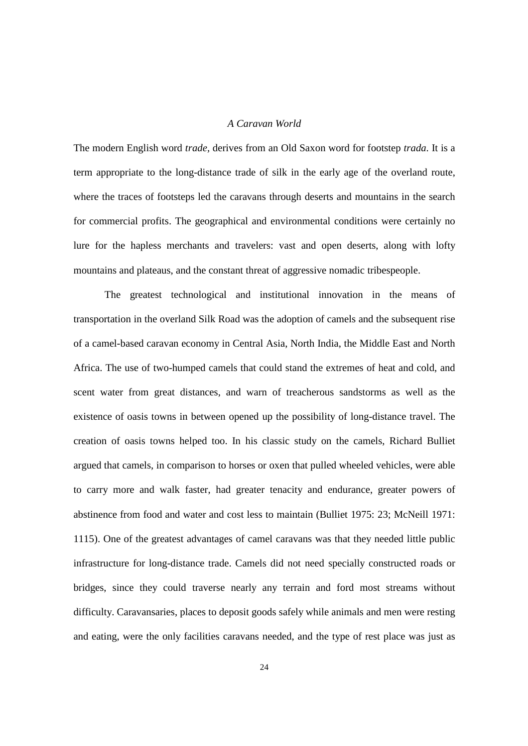# *A Caravan World*

The modern English word *trade,* derives from an Old Saxon word for footstep *trada*. It is a term appropriate to the long-distance trade of silk in the early age of the overland route, where the traces of footsteps led the caravans through deserts and mountains in the search for commercial profits. The geographical and environmental conditions were certainly no lure for the hapless merchants and travelers: vast and open deserts, along with lofty mountains and plateaus, and the constant threat of aggressive nomadic tribespeople.

The greatest technological and institutional innovation in the means of transportation in the overland Silk Road was the adoption of camels and the subsequent rise of a camel-based caravan economy in Central Asia, North India, the Middle East and North Africa. The use of two-humped camels that could stand the extremes of heat and cold, and scent water from great distances, and warn of treacherous sandstorms as well as the existence of oasis towns in between opened up the possibility of long-distance travel. The creation of oasis towns helped too. In his classic study on the camels, Richard Bulliet argued that camels, in comparison to horses or oxen that pulled wheeled vehicles, were able to carry more and walk faster, had greater tenacity and endurance, greater powers of abstinence from food and water and cost less to maintain (Bulliet 1975: 23; McNeill 1971: 1115). One of the greatest advantages of camel caravans was that they needed little public infrastructure for long-distance trade. Camels did not need specially constructed roads or bridges, since they could traverse nearly any terrain and ford most streams without difficulty. Caravansaries, places to deposit goods safely while animals and men were resting and eating, were the only facilities caravans needed, and the type of rest place was just as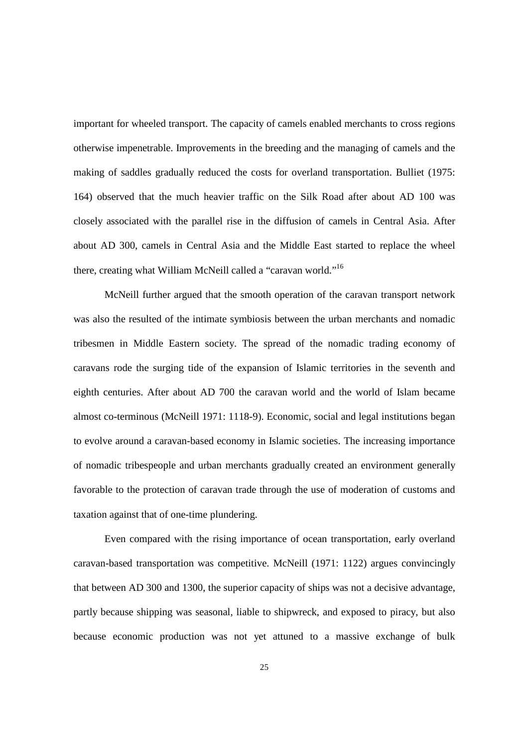important for wheeled transport. The capacity of camels enabled merchants to cross regions otherwise impenetrable. Improvements in the breeding and the managing of camels and the making of saddles gradually reduced the costs for overland transportation. Bulliet (1975: 164) observed that the much heavier traffic on the Silk Road after about AD 100 was closely associated with the parallel rise in the diffusion of camels in Central Asia. After about AD 300, camels in Central Asia and the Middle East started to replace the wheel there, creating what William McNeill called a "caravan world."<sup>16</sup>

McNeill further argued that the smooth operation of the caravan transport network was also the resulted of the intimate symbiosis between the urban merchants and nomadic tribesmen in Middle Eastern society. The spread of the nomadic trading economy of caravans rode the surging tide of the expansion of Islamic territories in the seventh and eighth centuries. After about AD 700 the caravan world and the world of Islam became almost co-terminous (McNeill 1971: 1118-9). Economic, social and legal institutions began to evolve around a caravan-based economy in Islamic societies. The increasing importance of nomadic tribespeople and urban merchants gradually created an environment generally favorable to the protection of caravan trade through the use of moderation of customs and taxation against that of one-time plundering.

Even compared with the rising importance of ocean transportation, early overland caravan-based transportation was competitive. McNeill (1971: 1122) argues convincingly that between AD 300 and 1300, the superior capacity of ships was not a decisive advantage, partly because shipping was seasonal, liable to shipwreck, and exposed to piracy, but also because economic production was not yet attuned to a massive exchange of bulk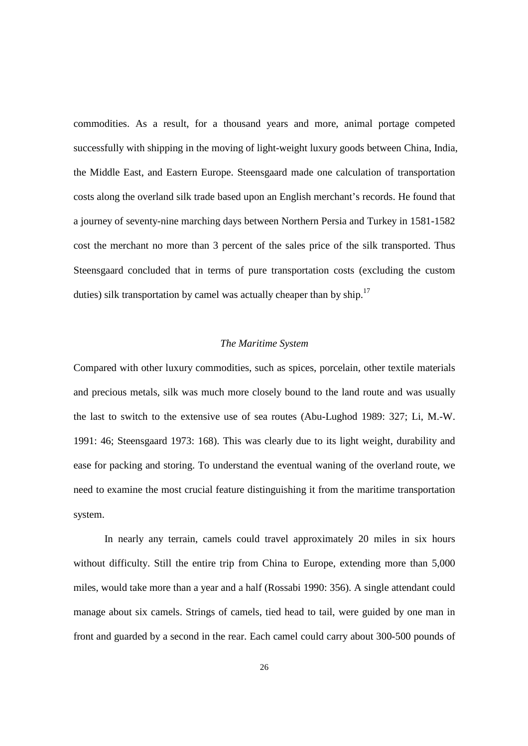commodities. As a result, for a thousand years and more, animal portage competed successfully with shipping in the moving of light-weight luxury goods between China, India, the Middle East, and Eastern Europe. Steensgaard made one calculation of transportation costs along the overland silk trade based upon an English merchant's records. He found that a journey of seventy-nine marching days between Northern Persia and Turkey in 1581-1582 cost the merchant no more than 3 percent of the sales price of the silk transported. Thus Steensgaard concluded that in terms of pure transportation costs (excluding the custom duties) silk transportation by camel was actually cheaper than by ship.<sup>17</sup>

## *The Maritime System*

Compared with other luxury commodities, such as spices, porcelain, other textile materials and precious metals, silk was much more closely bound to the land route and was usually the last to switch to the extensive use of sea routes (Abu-Lughod 1989: 327; Li, M.-W. 1991: 46; Steensgaard 1973: 168). This was clearly due to its light weight, durability and ease for packing and storing. To understand the eventual waning of the overland route, we need to examine the most crucial feature distinguishing it from the maritime transportation system.

In nearly any terrain, camels could travel approximately 20 miles in six hours without difficulty. Still the entire trip from China to Europe, extending more than 5,000 miles, would take more than a year and a half (Rossabi 1990: 356). A single attendant could manage about six camels. Strings of camels, tied head to tail, were guided by one man in front and guarded by a second in the rear. Each camel could carry about 300-500 pounds of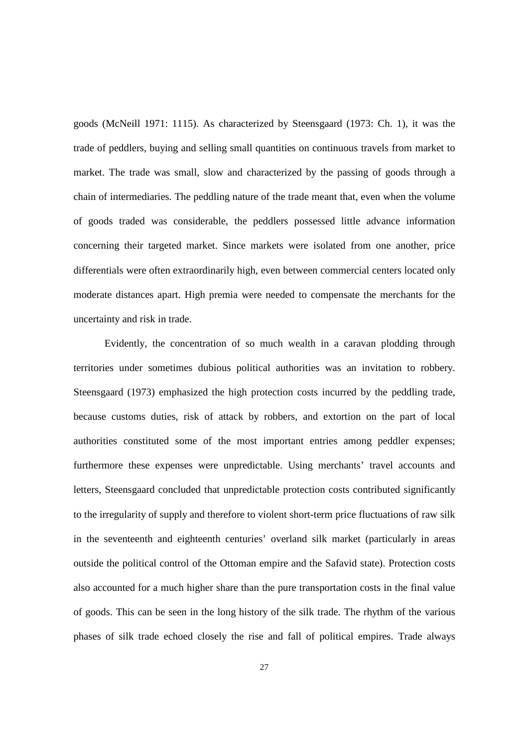goods (McNeill 1971: 1115). As characterized by Steensgaard (1973: Ch. 1), it was the trade of peddlers, buying and selling small quantities on continuous travels from market to market. The trade was small, slow and characterized by the passing of goods through a chain of intermediaries. The peddling nature of the trade meant that, even when the volume of goods traded was considerable, the peddlers possessed little advance information concerning their targeted market. Since markets were isolated from one another, price differentials were often extraordinarily high, even between commercial centers located only moderate distances apart. High premia were needed to compensate the merchants for the uncertainty and risk in trade.

Evidently, the concentration of so much wealth in a caravan plodding through territories under sometimes dubious political authorities was an invitation to robbery. Steensgaard (1973) emphasized the high protection costs incurred by the peddling trade, because customs duties, risk of attack by robbers, and extortion on the part of local authorities constituted some of the most important entries among peddler expenses; furthermore these expenses were unpredictable. Using merchants' travel accounts and letters, Steensgaard concluded that unpredictable protection costs contributed significantly to the irregularity of supply and therefore to violent short-term price fluctuations of raw silk in the seventeenth and eighteenth centuries' overland silk market (particularly in areas outside the political control of the Ottoman empire and the Safavid state). Protection costs also accounted for a much higher share than the pure transportation costs in the final value of goods. This can be seen in the long history of the silk trade. The rhythm of the various phases of silk trade echoed closely the rise and fall of political empires. Trade always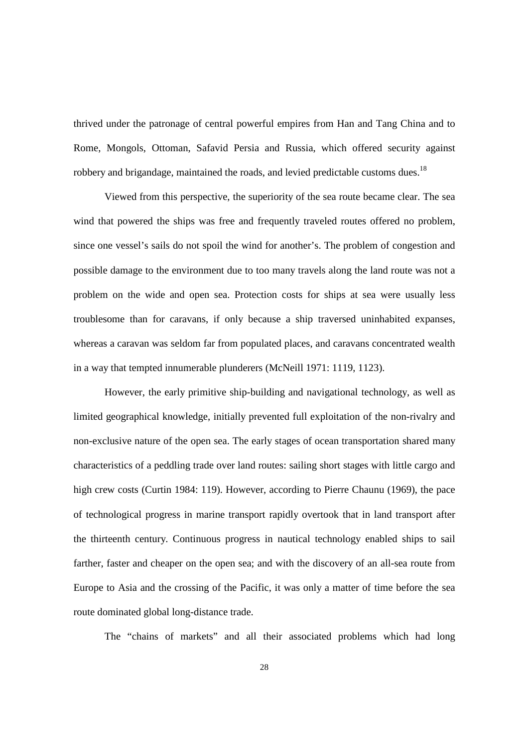thrived under the patronage of central powerful empires from Han and Tang China and to Rome, Mongols, Ottoman, Safavid Persia and Russia, which offered security against robbery and brigandage, maintained the roads, and levied predictable customs dues.<sup>18</sup>

Viewed from this perspective, the superiority of the sea route became clear. The sea wind that powered the ships was free and frequently traveled routes offered no problem, since one vessel's sails do not spoil the wind for another's. The problem of congestion and possible damage to the environment due to too many travels along the land route was not a problem on the wide and open sea. Protection costs for ships at sea were usually less troublesome than for caravans, if only because a ship traversed uninhabited expanses, whereas a caravan was seldom far from populated places, and caravans concentrated wealth in a way that tempted innumerable plunderers (McNeill 1971: 1119, 1123).

However, the early primitive ship-building and navigational technology, as well as limited geographical knowledge, initially prevented full exploitation of the non-rivalry and non-exclusive nature of the open sea. The early stages of ocean transportation shared many characteristics of a peddling trade over land routes: sailing short stages with little cargo and high crew costs (Curtin 1984: 119). However, according to Pierre Chaunu (1969), the pace of technological progress in marine transport rapidly overtook that in land transport after the thirteenth century. Continuous progress in nautical technology enabled ships to sail farther, faster and cheaper on the open sea; and with the discovery of an all-sea route from Europe to Asia and the crossing of the Pacific, it was only a matter of time before the sea route dominated global long-distance trade.

The "chains of markets" and all their associated problems which had long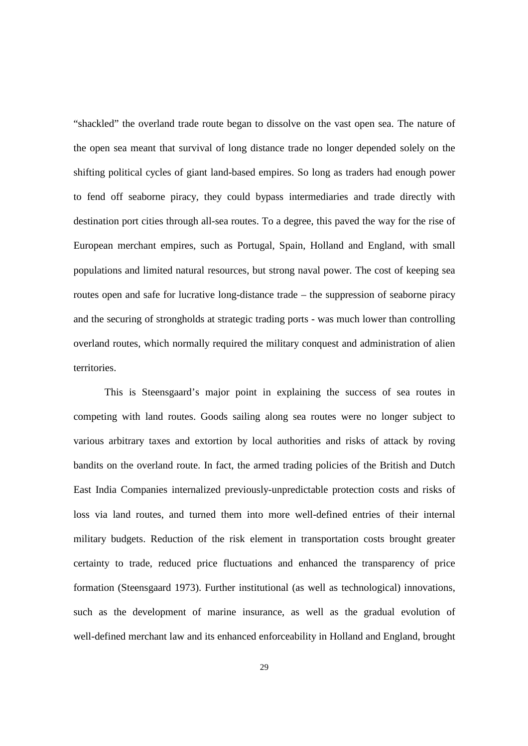"shackled" the overland trade route began to dissolve on the vast open sea. The nature of the open sea meant that survival of long distance trade no longer depended solely on the shifting political cycles of giant land-based empires. So long as traders had enough power to fend off seaborne piracy, they could bypass intermediaries and trade directly with destination port cities through all-sea routes. To a degree, this paved the way for the rise of European merchant empires, such as Portugal, Spain, Holland and England, with small populations and limited natural resources, but strong naval power. The cost of keeping sea routes open and safe for lucrative long-distance trade – the suppression of seaborne piracy and the securing of strongholds at strategic trading ports - was much lower than controlling overland routes, which normally required the military conquest and administration of alien territories.

This is Steensgaard's major point in explaining the success of sea routes in competing with land routes. Goods sailing along sea routes were no longer subject to various arbitrary taxes and extortion by local authorities and risks of attack by roving bandits on the overland route. In fact, the armed trading policies of the British and Dutch East India Companies internalized previously-unpredictable protection costs and risks of loss via land routes, and turned them into more well-defined entries of their internal military budgets. Reduction of the risk element in transportation costs brought greater certainty to trade, reduced price fluctuations and enhanced the transparency of price formation (Steensgaard 1973). Further institutional (as well as technological) innovations, such as the development of marine insurance, as well as the gradual evolution of well-defined merchant law and its enhanced enforceability in Holland and England, brought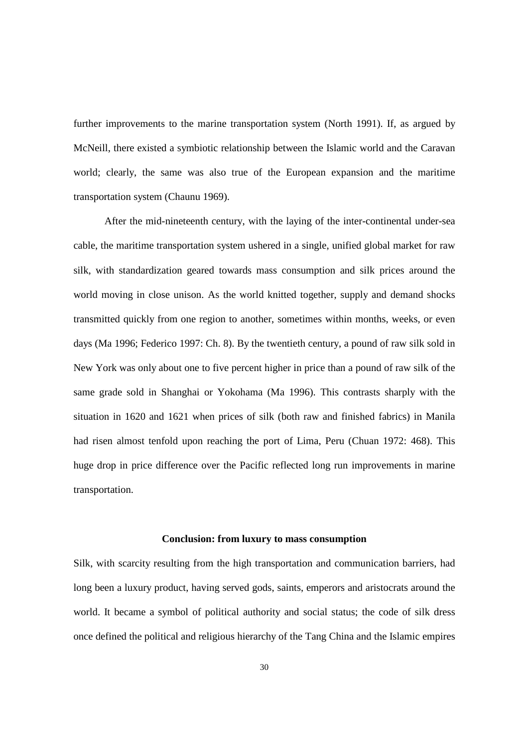further improvements to the marine transportation system (North 1991). If, as argued by McNeill, there existed a symbiotic relationship between the Islamic world and the Caravan world; clearly, the same was also true of the European expansion and the maritime transportation system (Chaunu 1969).

After the mid-nineteenth century, with the laying of the inter-continental under-sea cable, the maritime transportation system ushered in a single, unified global market for raw silk, with standardization geared towards mass consumption and silk prices around the world moving in close unison. As the world knitted together, supply and demand shocks transmitted quickly from one region to another, sometimes within months, weeks, or even days (Ma 1996; Federico 1997: Ch. 8). By the twentieth century, a pound of raw silk sold in New York was only about one to five percent higher in price than a pound of raw silk of the same grade sold in Shanghai or Yokohama (Ma 1996). This contrasts sharply with the situation in 1620 and 1621 when prices of silk (both raw and finished fabrics) in Manila had risen almost tenfold upon reaching the port of Lima, Peru (Chuan 1972: 468). This huge drop in price difference over the Pacific reflected long run improvements in marine transportation.

#### **Conclusion: from luxury to mass consumption**

Silk, with scarcity resulting from the high transportation and communication barriers, had long been a luxury product, having served gods, saints, emperors and aristocrats around the world. It became a symbol of political authority and social status; the code of silk dress once defined the political and religious hierarchy of the Tang China and the Islamic empires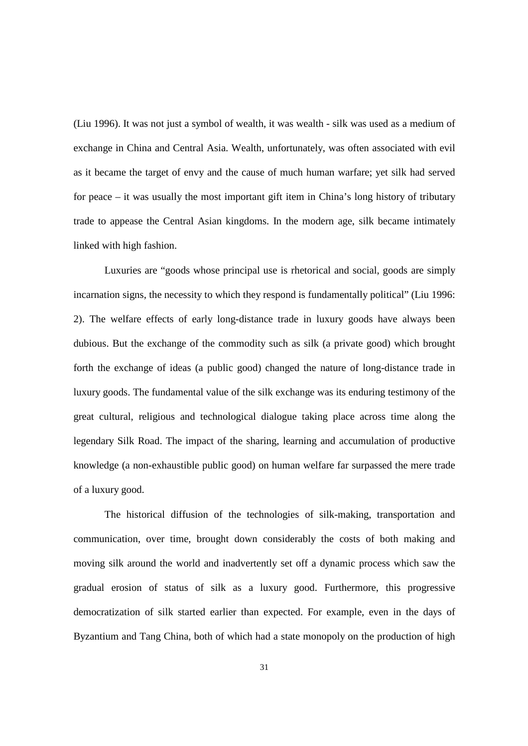(Liu 1996). It was not just a symbol of wealth, it was wealth - silk was used as a medium of exchange in China and Central Asia. Wealth, unfortunately, was often associated with evil as it became the target of envy and the cause of much human warfare; yet silk had served for peace – it was usually the most important gift item in China's long history of tributary trade to appease the Central Asian kingdoms. In the modern age, silk became intimately linked with high fashion.

Luxuries are "goods whose principal use is rhetorical and social, goods are simply incarnation signs, the necessity to which they respond is fundamentally political" (Liu 1996: 2). The welfare effects of early long-distance trade in luxury goods have always been dubious. But the exchange of the commodity such as silk (a private good) which brought forth the exchange of ideas (a public good) changed the nature of long-distance trade in luxury goods. The fundamental value of the silk exchange was its enduring testimony of the great cultural, religious and technological dialogue taking place across time along the legendary Silk Road. The impact of the sharing, learning and accumulation of productive knowledge (a non-exhaustible public good) on human welfare far surpassed the mere trade of a luxury good.

The historical diffusion of the technologies of silk-making, transportation and communication, over time, brought down considerably the costs of both making and moving silk around the world and inadvertently set off a dynamic process which saw the gradual erosion of status of silk as a luxury good. Furthermore, this progressive democratization of silk started earlier than expected. For example, even in the days of Byzantium and Tang China, both of which had a state monopoly on the production of high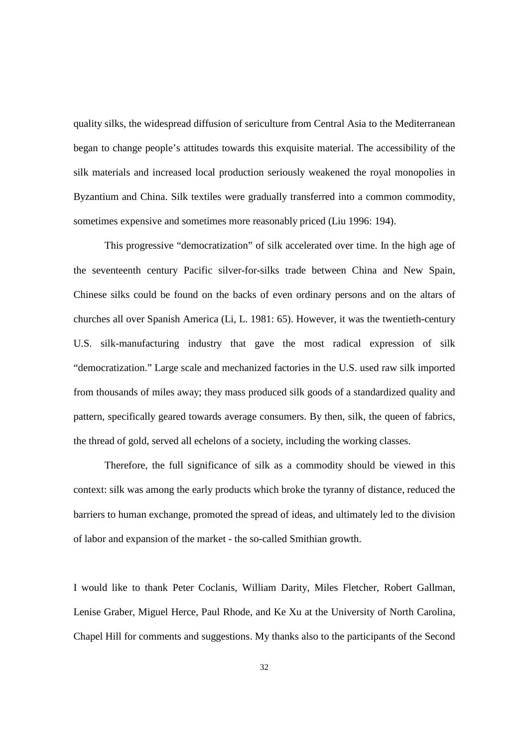quality silks, the widespread diffusion of sericulture from Central Asia to the Mediterranean began to change people's attitudes towards this exquisite material. The accessibility of the silk materials and increased local production seriously weakened the royal monopolies in Byzantium and China. Silk textiles were gradually transferred into a common commodity, sometimes expensive and sometimes more reasonably priced (Liu 1996: 194).

This progressive "democratization" of silk accelerated over time. In the high age of the seventeenth century Pacific silver-for-silks trade between China and New Spain, Chinese silks could be found on the backs of even ordinary persons and on the altars of churches all over Spanish America (Li, L. 1981: 65). However, it was the twentieth-century U.S. silk-manufacturing industry that gave the most radical expression of silk "democratization." Large scale and mechanized factories in the U.S. used raw silk imported from thousands of miles away; they mass produced silk goods of a standardized quality and pattern, specifically geared towards average consumers. By then, silk, the queen of fabrics, the thread of gold, served all echelons of a society, including the working classes.

Therefore, the full significance of silk as a commodity should be viewed in this context: silk was among the early products which broke the tyranny of distance, reduced the barriers to human exchange, promoted the spread of ideas, and ultimately led to the division of labor and expansion of the market - the so-called Smithian growth.

I would like to thank Peter Coclanis, William Darity, Miles Fletcher, Robert Gallman, Lenise Graber, Miguel Herce, Paul Rhode, and Ke Xu at the University of North Carolina, Chapel Hill for comments and suggestions. My thanks also to the participants of the Second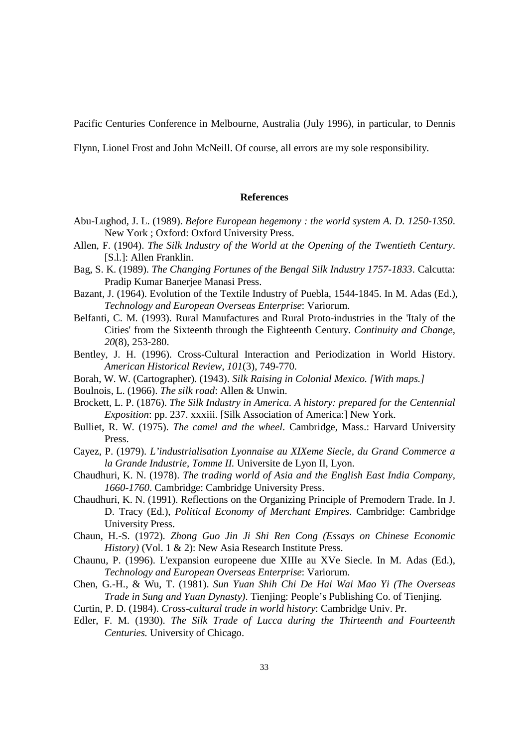Pacific Centuries Conference in Melbourne, Australia (July 1996), in particular, to Dennis

Flynn, Lionel Frost and John McNeill. Of course, all errors are my sole responsibility.

#### **References**

- Abu-Lughod, J. L. (1989). *Before European hegemony : the world system A. D. 1250-1350*. New York ; Oxford: Oxford University Press.
- Allen, F. (1904). *The Silk Industry of the World at the Opening of the Twentieth Century*. [S.l.]: Allen Franklin.
- Bag, S. K. (1989). *The Changing Fortunes of the Bengal Silk Industry 1757-1833*. Calcutta: Pradip Kumar Banerjee Manasi Press.
- Bazant, J. (1964). Evolution of the Textile Industry of Puebla, 1544-1845. In M. Adas (Ed.), *Technology and European Overseas Enterprise*: Variorum.
- Belfanti, C. M. (1993). Rural Manufactures and Rural Proto-industries in the 'Italy of the Cities' from the Sixteenth through the Eighteenth Century. *Continuity and Change, 20*(8), 253-280.
- Bentley, J. H. (1996). Cross-Cultural Interaction and Periodization in World History. *American Historical Review, 101*(3), 749-770.
- Borah, W. W. (Cartographer). (1943). *Silk Raising in Colonial Mexico. [With maps.]*
- Boulnois, L. (1966). *The silk road*: Allen & Unwin.
- Brockett, L. P. (1876). *The Silk Industry in America. A history: prepared for the Centennial Exposition*: pp. 237. xxxiii. [Silk Association of America:] New York.
- Bulliet, R. W. (1975). *The camel and the wheel*. Cambridge, Mass.: Harvard University Press.
- Cayez, P. (1979). *L'industrialisation Lyonnaise au XIXeme Siecle, du Grand Commerce a la Grande Industrie, Tomme II.* Universite de Lyon II, Lyon.
- Chaudhuri, K. N. (1978). *The trading world of Asia and the English East India Company, 1660-1760*. Cambridge: Cambridge University Press.
- Chaudhuri, K. N. (1991). Reflections on the Organizing Principle of Premodern Trade. In J. D. Tracy (Ed.), *Political Economy of Merchant Empires*. Cambridge: Cambridge University Press.
- Chaun, H.-S. (1972). *Zhong Guo Jin Ji Shi Ren Cong (Essays on Chinese Economic History*) (Vol. 1 & 2): New Asia Research Institute Press.
- Chaunu, P. (1996). L'expansion europeene due XIIIe au XVe Siecle. In M. Adas (Ed.), *Technology and European Overseas Enterprise*: Variorum.
- Chen, G.-H., & Wu, T. (1981). *Sun Yuan Shih Chi De Hai Wai Mao Yi (The Overseas Trade in Sung and Yuan Dynasty)*. Tienjing: People's Publishing Co. of Tienjing.
- Curtin, P. D. (1984). *Cross-cultural trade in world history*: Cambridge Univ. Pr.
- Edler, F. M. (1930). *The Silk Trade of Lucca during the Thirteenth and Fourteenth Centuries.* University of Chicago.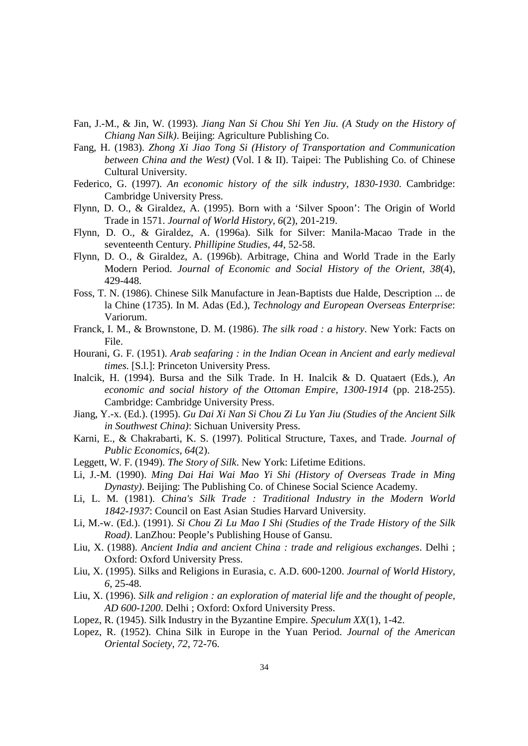- Fan, J.-M., & Jin, W. (1993). *Jiang Nan Si Chou Shi Yen Jiu. (A Study on the History of Chiang Nan Silk)*. Beijing: Agriculture Publishing Co.
- Fang, H. (1983). *Zhong Xi Jiao Tong Si (History of Transportation and Communication between China and the West)* (Vol. I & II). Taipei: The Publishing Co. of Chinese Cultural University.
- Federico, G. (1997). *An economic history of the silk industry, 1830-1930*. Cambridge: Cambridge University Press.
- Flynn, D. O., & Giraldez, A. (1995). Born with a 'Silver Spoon': The Origin of World Trade in 1571. *Journal of World History, 6*(2), 201-219.
- Flynn, D. O., & Giraldez, A. (1996a). Silk for Silver: Manila-Macao Trade in the seventeenth Century. *Phillipine Studies, 44*, 52-58.
- Flynn, D. O., & Giraldez, A. (1996b). Arbitrage, China and World Trade in the Early Modern Period. *Journal of Economic and Social History of the Orient, 38*(4), 429-448.
- Foss, T. N. (1986). Chinese Silk Manufacture in Jean-Baptists due Halde, Description ... de la Chine (1735). In M. Adas (Ed.), *Technology and European Overseas Enterprise*: Variorum.
- Franck, I. M., & Brownstone, D. M. (1986). *The silk road : a history*. New York: Facts on File.
- Hourani, G. F. (1951). *Arab seafaring : in the Indian Ocean in Ancient and early medieval times*. [S.l.]: Princeton University Press.
- Inalcik, H. (1994). Bursa and the Silk Trade. In H. Inalcik & D. Quataert (Eds.), *An economic and social history of the Ottoman Empire, 1300-1914* (pp. 218-255). Cambridge: Cambridge University Press.
- Jiang, Y.-x. (Ed.). (1995). *Gu Dai Xi Nan Si Chou Zi Lu Yan Jiu (Studies of the Ancient Silk in Southwest China)*: Sichuan University Press.
- Karni, E., & Chakrabarti, K. S. (1997). Political Structure, Taxes, and Trade. *Journal of Public Economics, 64*(2).
- Leggett, W. F. (1949). *The Story of Silk*. New York: Lifetime Editions.
- Li, J.-M. (1990). *Ming Dai Hai Wai Mao Yi Shi (History of Overseas Trade in Ming Dynasty)*. Beijing: The Publishing Co. of Chinese Social Science Academy.
- Li, L. M. (1981). *China's Silk Trade : Traditional Industry in the Modern World 1842-1937*: Council on East Asian Studies Harvard University.
- Li, M.-w. (Ed.). (1991). *Si Chou Zi Lu Mao I Shi (Studies of the Trade History of the Silk Road)*. LanZhou: People's Publishing House of Gansu.
- Liu, X. (1988). *Ancient India and ancient China : trade and religious exchanges*. Delhi ; Oxford: Oxford University Press.
- Liu, X. (1995). Silks and Religions in Eurasia, c. A.D. 600-1200. *Journal of World History, 6*, 25-48.
- Liu, X. (1996). *Silk and religion : an exploration of material life and the thought of people, AD 600-1200*. Delhi ; Oxford: Oxford University Press.
- Lopez, R. (1945). Silk Industry in the Byzantine Empire. *Speculum XX*(1), 1-42.
- Lopez, R. (1952). China Silk in Europe in the Yuan Period. *Journal of the American Oriental Society, 72*, 72-76.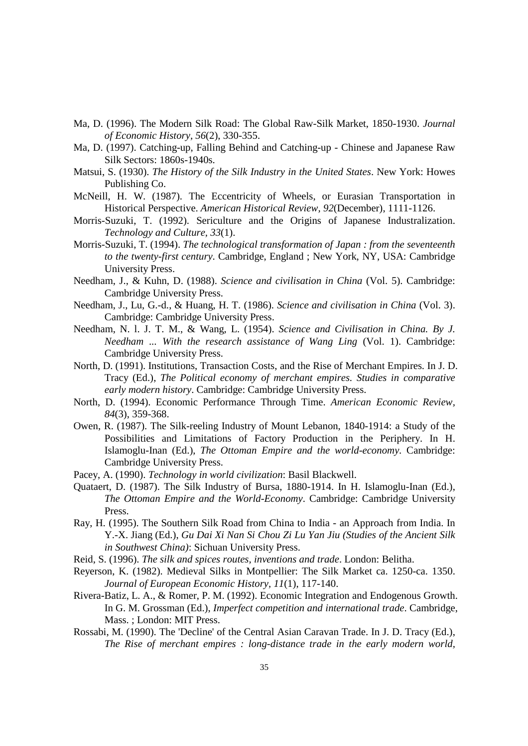- Ma, D. (1996). The Modern Silk Road: The Global Raw-Silk Market, 1850-1930. *Journal of Economic History, 56*(2), 330-355.
- Ma, D. (1997). Catching-up, Falling Behind and Catching-up Chinese and Japanese Raw Silk Sectors: 1860s-1940s.
- Matsui, S. (1930). *The History of the Silk Industry in the United States*. New York: Howes Publishing Co.
- McNeill, H. W. (1987). The Eccentricity of Wheels, or Eurasian Transportation in Historical Perspective. *American Historical Review, 92*(December), 1111-1126.
- Morris-Suzuki, T. (1992). Sericulture and the Origins of Japanese Industralization. *Technology and Culture, 33*(1).
- Morris-Suzuki, T. (1994). *The technological transformation of Japan : from the seventeenth to the twenty-first century*. Cambridge, England ; New York, NY, USA: Cambridge University Press.
- Needham, J., & Kuhn, D. (1988). *Science and civilisation in China* (Vol. 5). Cambridge: Cambridge University Press.
- Needham, J., Lu, G.-d., & Huang, H. T. (1986). *Science and civilisation in China* (Vol. 3). Cambridge: Cambridge University Press.
- Needham, N. l. J. T. M., & Wang, L. (1954). *Science and Civilisation in China. By J. Needham ... With the research assistance of Wang Ling* (Vol. 1). Cambridge: Cambridge University Press.
- North, D. (1991). Institutions, Transaction Costs, and the Rise of Merchant Empires. In J. D. Tracy (Ed.), *The Political economy of merchant empires. Studies in comparative early modern history*. Cambridge: Cambridge University Press.
- North, D. (1994). Economic Performance Through Time. *American Economic Review, 84*(3), 359-368.
- Owen, R. (1987). The Silk-reeling Industry of Mount Lebanon, 1840-1914: a Study of the Possibilities and Limitations of Factory Production in the Periphery. In H. Islamoglu-Inan (Ed.), *The Ottoman Empire and the world-economy*. Cambridge: Cambridge University Press.
- Pacey, A. (1990). *Technology in world civilization*: Basil Blackwell.
- Quataert, D. (1987). The Silk Industry of Bursa, 1880-1914. In H. Islamoglu-Inan (Ed.), *The Ottoman Empire and the World-Economy*. Cambridge: Cambridge University Press.
- Ray, H. (1995). The Southern Silk Road from China to India an Approach from India. In Y.-X. Jiang (Ed.), *Gu Dai Xi Nan Si Chou Zi Lu Yan Jiu (Studies of the Ancient Silk in Southwest China)*: Sichuan University Press.
- Reid, S. (1996). *The silk and spices routes, inventions and trade*. London: Belitha.
- Reyerson, K. (1982). Medieval Silks in Montpellier: The Silk Market ca. 1250-ca. 1350. *Journal of European Economic History, 11*(1), 117-140.
- Rivera-Batiz, L. A., & Romer, P. M. (1992). Economic Integration and Endogenous Growth. In G. M. Grossman (Ed.), *Imperfect competition and international trade*. Cambridge, Mass. ; London: MIT Press.
- Rossabi, M. (1990). The 'Decline' of the Central Asian Caravan Trade. In J. D. Tracy (Ed.), *The Rise of merchant empires : long-distance trade in the early modern world,*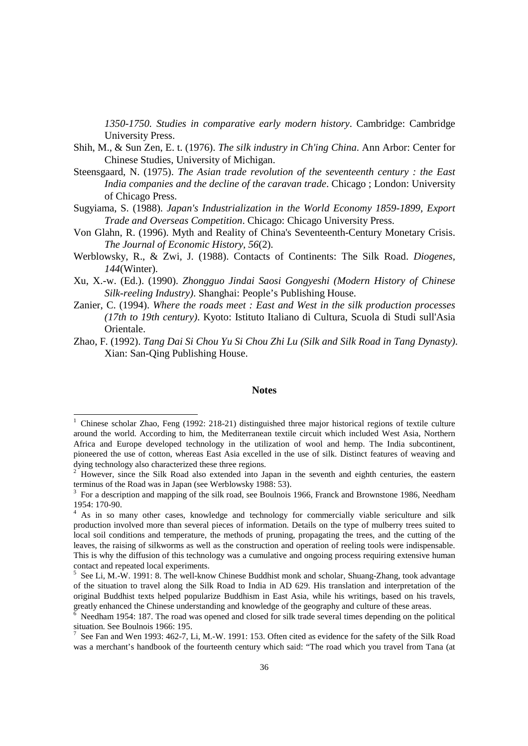*1350-1750. Studies in comparative early modern history*. Cambridge: Cambridge University Press.

- Shih, M., & Sun Zen, E. t. (1976). *The silk industry in Ch'ing China*. Ann Arbor: Center for Chinese Studies, University of Michigan.
- Steensgaard, N. (1975). *The Asian trade revolution of the seventeenth century : the East India companies and the decline of the caravan trade*. Chicago ; London: University of Chicago Press.
- Sugyiama, S. (1988). *Japan's Industrialization in the World Economy 1859-1899, Export Trade and Overseas Competition*. Chicago: Chicago University Press.
- Von Glahn, R. (1996). Myth and Reality of China's Seventeenth-Century Monetary Crisis. *The Journal of Economic History, 56*(2).
- Werblowsky, R., & Zwi, J. (1988). Contacts of Continents: The Silk Road. *Diogenes, 144*(Winter).
- Xu, X.-w. (Ed.). (1990). *Zhongguo Jindai Saosi Gongyeshi (Modern History of Chinese Silk-reeling Industry)*. Shanghai: People's Publishing House.
- Zanier, C. (1994). *Where the roads meet : East and West in the silk production processes (17th to 19th century)*. Kyoto: Istituto Italiano di Cultura, Scuola di Studi sull'Asia Orientale.
- Zhao, F. (1992). *Tang Dai Si Chou Yu Si Chou Zhi Lu (Silk and Silk Road in Tang Dynasty)*. Xian: San-Qing Publishing House.

#### **Notes**

-

<sup>1</sup> Chinese scholar Zhao, Feng (1992: 218-21) distinguished three major historical regions of textile culture around the world. According to him, the Mediterranean textile circuit which included West Asia, Northern Africa and Europe developed technology in the utilization of wool and hemp. The India subcontinent, pioneered the use of cotton, whereas East Asia excelled in the use of silk. Distinct features of weaving and dying technology also characterized these three regions.

<sup>2</sup> However, since the Silk Road also extended into Japan in the seventh and eighth centuries, the eastern terminus of the Road was in Japan (see Werblowsky 1988: 53).

<sup>3</sup> For a description and mapping of the silk road, see Boulnois 1966, Franck and Brownstone 1986, Needham 1954: 170-90.

<sup>&</sup>lt;sup>4</sup> As in so many other cases, knowledge and technology for commercially viable sericulture and silk production involved more than several pieces of information. Details on the type of mulberry trees suited to local soil conditions and temperature, the methods of pruning, propagating the trees, and the cutting of the leaves, the raising of silkworms as well as the construction and operation of reeling tools were indispensable. This is why the diffusion of this technology was a cumulative and ongoing process requiring extensive human contact and repeated local experiments.

<sup>5</sup> See Li, M.-W. 1991: 8. The well-know Chinese Buddhist monk and scholar, Shuang-Zhang, took advantage of the situation to travel along the Silk Road to India in AD 629. His translation and interpretation of the original Buddhist texts helped popularize Buddhism in East Asia, while his writings, based on his travels, greatly enhanced the Chinese understanding and knowledge of the geography and culture of these areas.

<sup>6</sup> Needham 1954: 187. The road was opened and closed for silk trade several times depending on the political situation. See Boulnois 1966: 195.

<sup>7</sup> See Fan and Wen 1993: 462-7, Li, M.-W. 1991: 153. Often cited as evidence for the safety of the Silk Road was a merchant's handbook of the fourteenth century which said: "The road which you travel from Tana (at